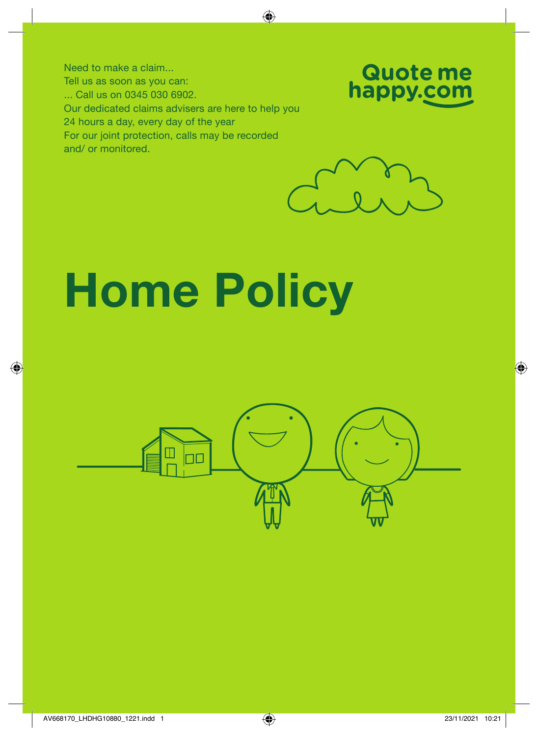Need to make a claim... Tell us as soon as you can: ... Call us on 0345 030 6902. Our dedicated claims advisers are here to help you 24 hours a day, every day of the year For our joint protection, calls may be recorded and/ or monitored.





# Home Policy

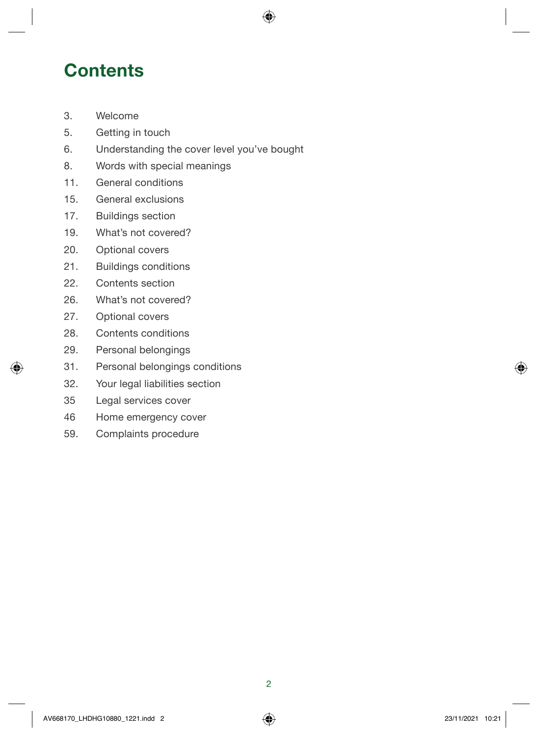### **Contents**

- [3. Welcome](#page-2-0)
- 5[. Getting in touch](#page-4-0)
- 6[. Understanding the cover level you've bought](#page-5-0)
- 8[. Words with special meanings](#page-7-0)
- 11[. General conditions](#page-11-0)
- [15. General exclusions](#page-27-0)
- 17. Buildings section
- 19. What's not covered?
- 20. Optional covers
- 21. Buildings conditions
- 22. Contents section
- 26. What's not covered?
- 27. Optional covers
- 28. Contents conditions
- 29. Personal belongings
- 31. Personal belongings conditions
- 32[. Y](#page-31-0)our legal liabilities section
- 35 [Legal services cover](#page-34-0)
- 46 [Home emergency cover](#page-45-0)
- 59. Complaints procedure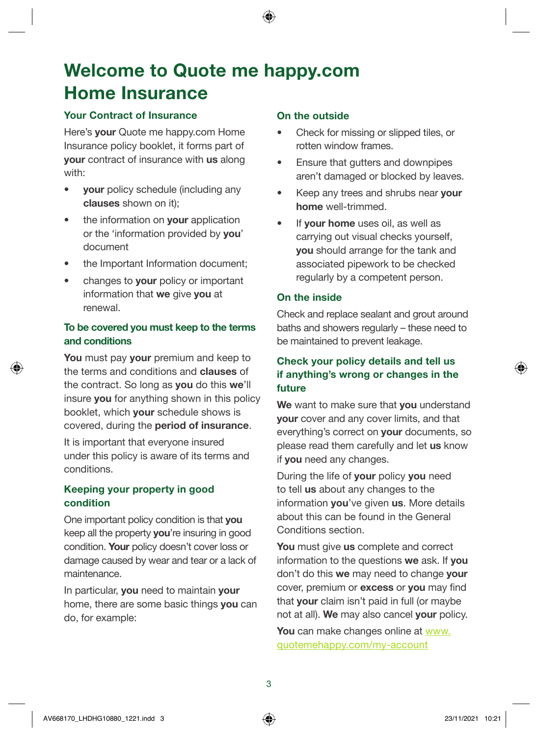### <span id="page-2-0"></span>Welcome to Quote me [happy.com](http://www.quotemehappy.com) Home Insurance

#### Your Contract of Insurance

Here's your [Quote me happy.com](http://www.Quotemehappy.com) Home Insurance policy booklet, it forms part of your contract of insurance with us along with:

- vour policy schedule (including any clauses shown on it);
- the information on **vour** application or the 'information provided by you' document
- the Important Information document;
- changes to your policy or important information that we give you at renewal.

#### To be covered you must keep to the terms and conditions

You must pay your premium and keep to the terms and conditions and clauses of the contract. So long as you do this we'll insure you for anything shown in this policy booklet, which your schedule shows is covered, during the period of insurance.

It is important that everyone insured under this policy is aware of its terms and conditions.

#### Keeping your property in good condition

One important policy condition is that you keep all the property you're insuring in good condition. Your policy doesn't cover loss or damage caused by wear and tear or a lack of maintenance.

In particular, you need to maintain your home, there are some basic things you can do, for example:

#### On the outside

- Check for missing or slipped tiles, or rotten window frames.
- Ensure that gutters and downpipes aren't damaged or blocked by leaves.
- Keep any trees and shrubs near your home well-trimmed.
- If **vour home** uses oil, as well as carrying out visual checks yourself, you should arrange for the tank and associated pipework to be checked regularly by a competent person.

#### On the inside

Check and replace sealant and grout around baths and showers regularly – these need to be maintained to prevent leakage.

#### Check your policy details and tell us if anything's wrong or changes in the future

We want to make sure that you understand your cover and any cover limits, and that everything's correct on your documents, so please read them carefully and let us know if you need any changes.

During the life of your policy you need to tell us about any changes to the information vou've given us. More details about this can be found in the General Conditions section.

You must give us complete and correct information to the questions we ask. If you don't do this we may need to change vour cover, premium or excess or you may find that your claim isn't paid in full (or maybe not at all). We may also cancel your policy.

You can make changes online at [www.](http://www.quotemehappy.com/my-account) [quotemehappy.com/my-account](http://www.quotemehappy.com/my-account)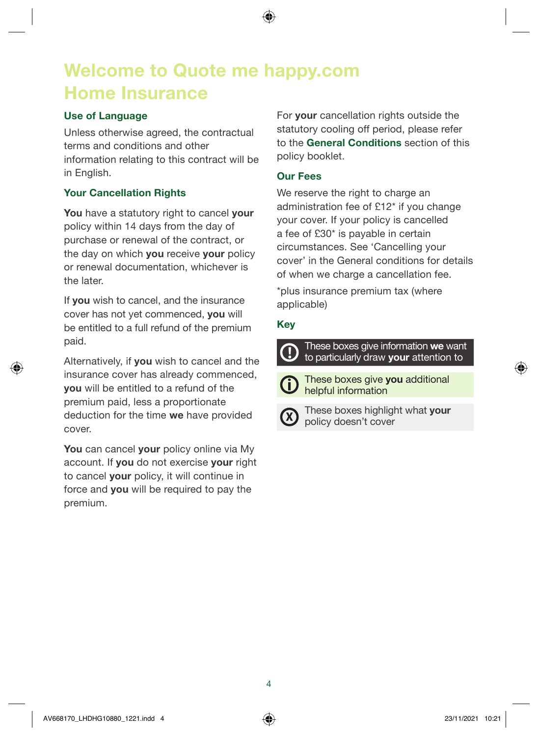### Welcome to Quote me [happy.com](http://www.quotemehappy.com) Home Insurance

#### Use of Language

Unless otherwise agreed, the contractual terms and conditions and other information relating to this contract will be in English.

#### Your Cancellation Rights

You have a statutory right to cancel your policy within 14 days from the day of purchase or renewal of the contract, or the day on which you receive your policy or renewal documentation, whichever is the later.

If you wish to cancel, and the insurance cover has not yet commenced, you will be entitled to a full refund of the premium paid.

Alternatively, if you wish to cancel and the insurance cover has already commenced, you will be entitled to a refund of the premium paid, less a proportionate deduction for the time we have provided cover.

You can cancel your policy online via My account. If you do not exercise your right to cancel your policy, it will continue in force and you will be required to pay the premium.

For **vour** cancellation rights outside the statutory cooling off period, please refer to the General Conditions section of this policy booklet.

#### Our Fees

We reserve the right to charge an administration fee of £12\* if you change your cover. If your policy is cancelled a fee of £30\* is payable in certain circumstances. See 'Cancelling your cover' in the General conditions for details of when we charge a cancellation fee.

\*plus insurance premium tax (where applicable)

#### Key

These boxes give information we want to particularly draw your attention to



These boxes give you additional helpful information



These boxes highlight what your policy doesn't cover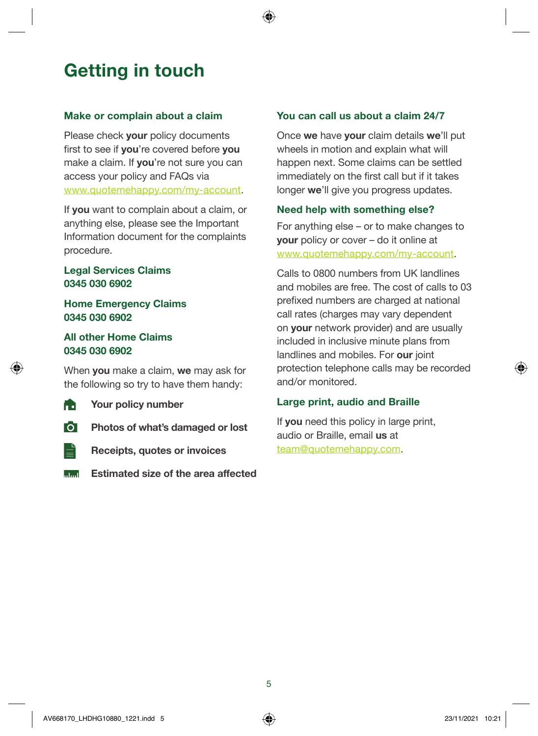### <span id="page-4-0"></span>Getting in touch

#### Make or complain about a claim

Please check your policy documents first to see if you're covered before you make a claim. If you're not sure you can access your policy and FAQs via [www.quotemehappy.com/my-account](http://www.quotemehappy.com/my-account).

If you want to complain about a claim, or anything else, please see the Important Information document for the complaints procedure.

#### Legal Services Claims 0345 030 6902

#### Home Emergency Claims 0345 030 6902

#### All other Home Claims 0345 030 6902

When you make a claim, we may ask for the following so try to have them handy:

- **The Your policy number**
- **O** Photos of what's damaged or lost
- $\equiv$ Receipts, quotes or invoices
- **Estimated size of the area affected**

#### You can call us about a claim 24/7

Once we have your claim details we'll put wheels in motion and explain what will happen next. Some claims can be settled immediately on the first call but if it takes longer we'll give you progress updates.

#### Need help with something else?

For anything else – or to make changes to your policy or cover – do it online at [www.quotemehappy.com/my-account.](http://www.quotemehappy.com/my-account)

Calls to 0800 numbers from UK landlines and mobiles are free. The cost of calls to 03 prefixed numbers are charged at national call rates (charges may vary dependent on your network provider) and are usually included in inclusive minute plans from landlines and mobiles. For our joint protection telephone calls may be recorded and/or monitored.

#### Large print, audio and Braille

If you need this policy in large print, audio or Braille, email us at [team@quotemehappy.com.](mailto:team@quotemehappy.com)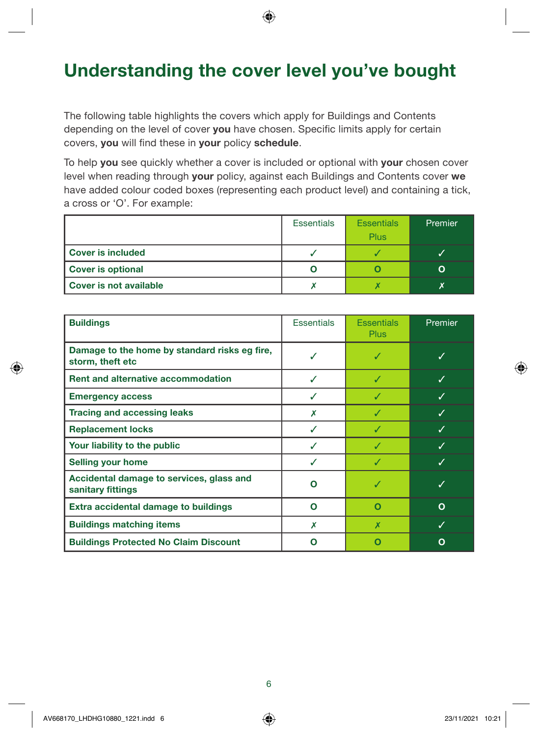### <span id="page-5-0"></span>Understanding the cover level you've bought

The following table highlights the covers which apply for Buildings and Contents depending on the level of cover you have chosen. Specific limits apply for certain covers, you will find these in your policy schedule.

To help you see quickly whether a cover is included or optional with your chosen cover level when reading through your policy, against each Buildings and Contents cover we have added colour coded boxes (representing each product level) and containing a tick, a cross or 'O'. For example:

|                        | <b>Essentials</b> | <b>Essentials</b> | Premier |
|------------------------|-------------------|-------------------|---------|
|                        |                   | Plus              |         |
| l Cover is included    |                   |                   |         |
| Cover is optional      |                   |                   |         |
| Cover is not available |                   |                   |         |

| <b>Buildings</b>                                                  | <b>Essentials</b> | <b>Essentials</b><br><b>Plus</b> | Premier |
|-------------------------------------------------------------------|-------------------|----------------------------------|---------|
| Damage to the home by standard risks eg fire,<br>storm, theft etc |                   |                                  |         |
| <b>Rent and alternative accommodation</b>                         | ✓                 | J                                | J       |
| <b>Emergency access</b>                                           | J                 |                                  |         |
| <b>Tracing and accessing leaks</b>                                | Х                 |                                  |         |
| <b>Replacement locks</b>                                          | ✓                 |                                  |         |
| Your liability to the public                                      |                   |                                  |         |
| <b>Selling your home</b>                                          | J                 |                                  |         |
| Accidental damage to services, glass and<br>sanitary fittings     | റ                 |                                  | J       |
| Extra accidental damage to buildings                              | O                 | О                                | O       |
| <b>Buildings matching items</b>                                   | X                 | X                                |         |
| <b>Buildings Protected No Claim Discount</b>                      | Ω                 |                                  | Ω       |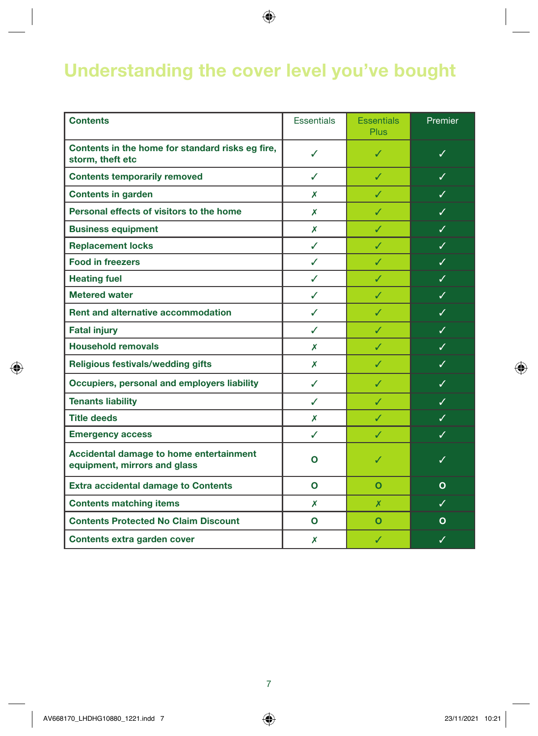### Understanding the cover level you've bought

| <b>Contents</b>                                                         | <b>Essentials</b> | <b>Essentials</b><br><b>Plus</b> | Premier                 |
|-------------------------------------------------------------------------|-------------------|----------------------------------|-------------------------|
| Contents in the home for standard risks eg fire,<br>storm, theft etc    | ✓                 | ✓                                | ✓                       |
| <b>Contents temporarily removed</b>                                     | ℐ                 | ✓                                | $\overline{\checkmark}$ |
| <b>Contents in garden</b>                                               | Х                 | ✓                                | ✓                       |
| Personal effects of visitors to the home                                | Х                 | ✓                                | ✓                       |
| <b>Business equipment</b>                                               | Х                 | ✓                                | ✓                       |
| <b>Replacement locks</b>                                                | ✓                 | J                                | ✓                       |
| <b>Food in freezers</b>                                                 | ✓                 | ✓                                | ✓                       |
| <b>Heating fuel</b>                                                     | ✓                 | ✓                                | ✓                       |
| <b>Metered water</b>                                                    | ✓                 | ✓                                | ✓                       |
| <b>Rent and alternative accommodation</b>                               | ✓                 | ✓                                | $\checkmark$            |
| <b>Fatal injury</b>                                                     | ✓                 | ✓                                | ✓                       |
| <b>Household removals</b>                                               | Х                 | ✓                                | ✓                       |
| Religious festivals/wedding gifts                                       | Х                 | ✓                                | ✓                       |
| Occupiers, personal and employers liability                             | ✓                 | ✓                                | ✓                       |
| <b>Tenants liability</b>                                                | ✓                 | ✓                                | ✓                       |
| <b>Title deeds</b>                                                      | x                 | ✓                                | ✓                       |
| <b>Emergency access</b>                                                 | ✓                 | ✓                                | ✓                       |
| Accidental damage to home entertainment<br>equipment, mirrors and glass | Ο                 | ✓                                | ✓                       |
| <b>Extra accidental damage to Contents</b>                              | $\mathbf{o}$      | $\Omega$                         | $\Omega$                |
| <b>Contents matching items</b>                                          | Х                 | X                                | ✓                       |
| <b>Contents Protected No Claim Discount</b>                             | $\mathbf{o}$      | $\mathbf{o}$                     | O                       |
| Contents extra garden cover                                             | Х                 | ✓                                | ✓                       |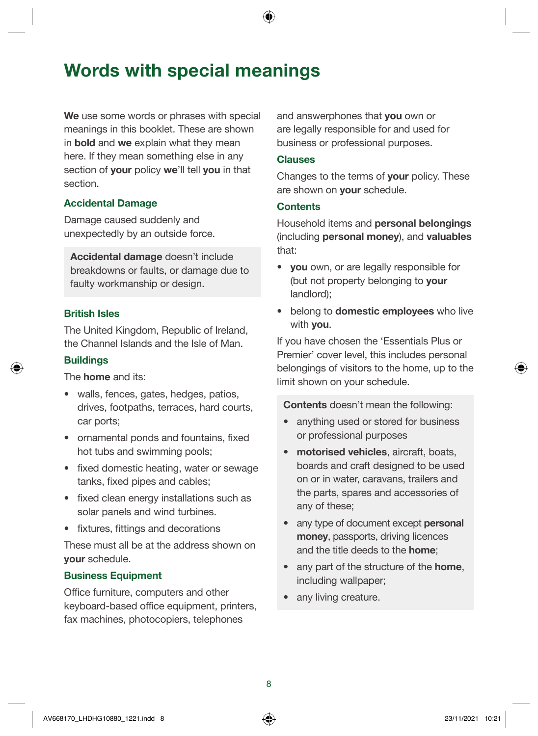<span id="page-7-0"></span>We use some words or phrases with special meanings in this booklet. These are shown in **bold** and we explain what they mean here. If they mean something else in any section of your policy we'll tell you in that section.

#### Accidental Damage

Damage caused suddenly and unexpectedly by an outside force.

Accidental damage doesn't include breakdowns or faults, or damage due to faulty workmanship or design.

#### British Isles

The United Kingdom, Republic of Ireland, the Channel Islands and the Isle of Man.

#### **Buildings**

The home and its:

- walls, fences, gates, hedges, patios, drives, footpaths, terraces, hard courts, car ports;
- ornamental ponds and fountains, fixed hot tubs and swimming pools;
- fixed domestic heating, water or sewage tanks, fixed pipes and cables;
- fixed clean energy installations such as solar panels and wind turbines.
- fixtures, fittings and decorations

These must all be at the address shown on your schedule.

#### Business Equipment

Office furniture, computers and other keyboard-based office equipment, printers, fax machines, photocopiers, telephones

and answerphones that you own or are legally responsible for and used for business or professional purposes.

#### Clauses

Changes to the terms of your policy. These are shown on **your** schedule.

#### **Contents**

Household items and personal belongings (including personal money), and valuables that:

- vou own, or are legally responsible for (but not property belonging to **your** landlord);
- belong to domestic employees who live with you.

If you have chosen the 'Essentials Plus or Premier' cover level, this includes personal belongings of visitors to the home, up to the limit shown on your schedule.

Contents doesn't mean the following:

- anything used or stored for business or professional purposes
- motorised vehicles, aircraft, boats, boards and craft designed to be used on or in water, caravans, trailers and the parts, spares and accessories of any of these;
- any type of document except personal money, passports, driving licences and the title deeds to the home;
- any part of the structure of the **home**, including wallpaper;
- any living creature.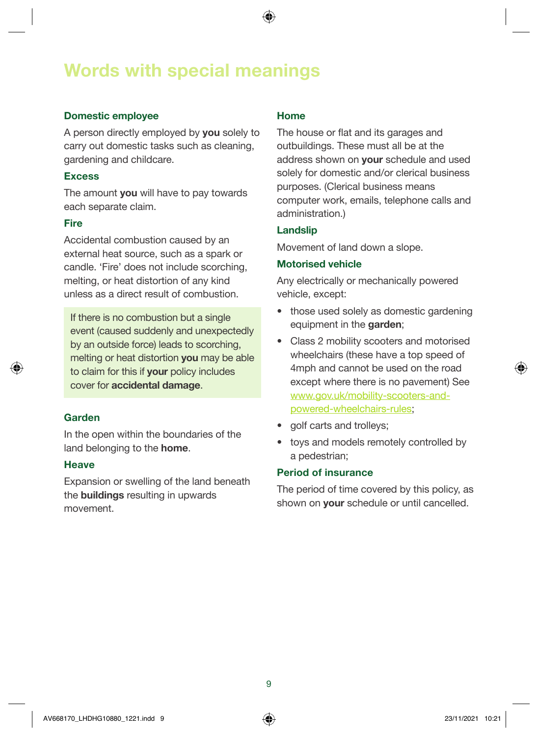#### Domestic employee

A person directly employed by you solely to carry out domestic tasks such as cleaning, gardening and childcare.

#### **Excess**

The amount you will have to pay towards each separate claim.

#### Fire

Accidental combustion caused by an external heat source, such as a spark or candle. 'Fire' does not include scorching, melting, or heat distortion of any kind unless as a direct result of combustion.

If there is no combustion but a single event (caused suddenly and unexpectedly by an outside force) leads to scorching, melting or heat distortion **you** may be able to claim for this if your policy includes cover for accidental damage.

#### Garden

In the open within the boundaries of the land belonging to the home.

#### Heave

Expansion or swelling of the land beneath the buildings resulting in upwards movement.

#### Home

The house or flat and its garages and outbuildings. These must all be at the address shown on **your** schedule and used solely for domestic and/or clerical business purposes. (Clerical business means computer work, emails, telephone calls and administration.)

#### Landslip

Movement of land down a slope.

#### Motorised vehicle

Any electrically or mechanically powered vehicle, except:

- those used solely as domestic gardening equipment in the garden;
- Class 2 mobility scooters and motorised wheelchairs (these have a top speed of 4mph and cannot be used on the road except where there is no pavement) See [www.gov.uk/mobility-scooters-and](http://www.gov.uk/mobility-scooters-and-powered-wheelchairs-rules)[powered-wheelchairs-rules](http://www.gov.uk/mobility-scooters-and-powered-wheelchairs-rules);
- golf carts and trolleys;
- toys and models remotely controlled by a pedestrian;

#### Period of insurance

The period of time covered by this policy, as shown on **vour** schedule or until cancelled.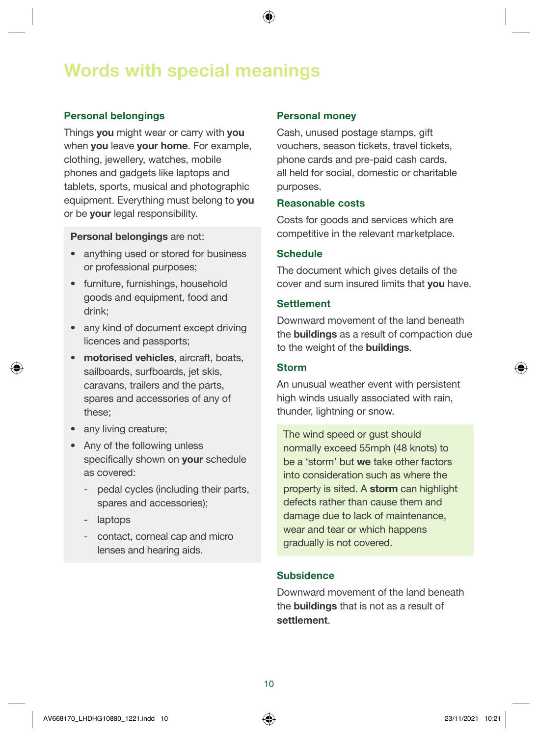#### Personal belongings

Things you might wear or carry with you when you leave your home. For example, clothing, jewellery, watches, mobile phones and gadgets like laptops and tablets, sports, musical and photographic equipment. Everything must belong to you or be your legal responsibility.

#### Personal belongings are not:

- anything used or stored for business or professional purposes;
- furniture, furnishings, household goods and equipment, food and drink;
- any kind of document except driving licences and passports;
- motorised vehicles, aircraft, boats, sailboards, surfboards, jet skis, caravans, trailers and the parts, spares and accessories of any of these;
- any living creature;
- Any of the following unless specifically shown on **your** schedule as covered:
	- pedal cycles (including their parts, spares and accessories);
	- laptops
	- contact, corneal cap and micro lenses and hearing aids.

#### Personal money

Cash, unused postage stamps, gift vouchers, season tickets, travel tickets, phone cards and pre-paid cash cards, all held for social, domestic or charitable purposes.

#### Reasonable costs

Costs for goods and services which are competitive in the relevant marketplace.

#### Schedule

The document which gives details of the cover and sum insured limits that you have.

#### **Settlement**

Downward movement of the land beneath the buildings as a result of compaction due to the weight of the buildings.

#### Storm

An unusual weather event with persistent high winds usually associated with rain, thunder, lightning or snow.

The wind speed or gust should normally exceed 55mph (48 knots) to be a 'storm' but we take other factors into consideration such as where the property is sited. A storm can highlight defects rather than cause them and damage due to lack of maintenance, wear and tear or which happens gradually is not covered.

#### **Subsidence**

Downward movement of the land beneath the buildings that is not as a result of settlement.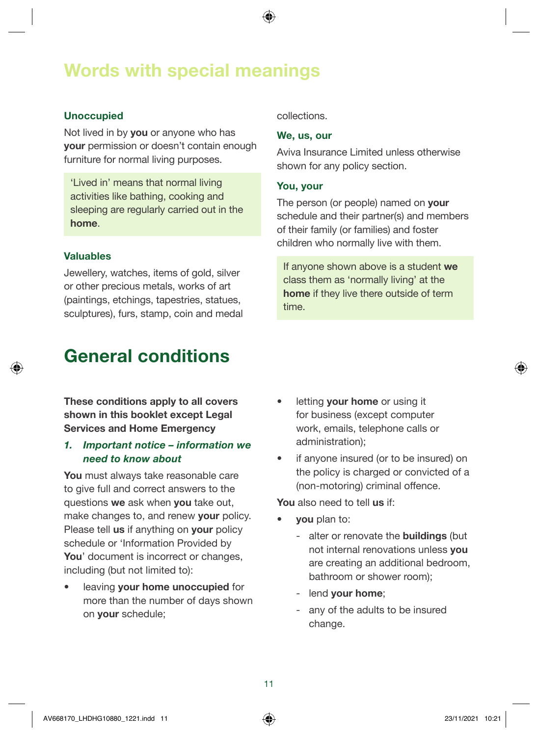#### Unoccupied

Not lived in by **you** or anyone who has your permission or doesn't contain enough furniture for normal living purposes.

'Lived in' means that normal living activities like bathing, cooking and sleeping are regularly carried out in the home.

#### Valuables

Jewellery, watches, items of gold, silver or other precious metals, works of art (paintings, etchings, tapestries, statues, sculptures), furs, stamp, coin and medal

### General conditions

These conditions apply to all covers shown in this booklet except Legal Services and Home Emergency

#### *1. Important notice – information we* need to know about

You must always take reasonable care to give full and correct answers to the questions we ask when you take out. make changes to, and renew your policy. Please tell us if anything on your policy schedule or 'Information Provided by You' document is incorrect or changes, including (but not limited to):

leaving your home unoccupied for more than the number of days shown on your schedule;

collections.

#### We, us, our

Aviva Insurance Limited unless otherwise shown for any policy section.

#### You, your

The person (or people) named on your schedule and their partner(s) and members of their family (or families) and foster children who normally live with them.

If anyone shown above is a student we class them as 'normally living' at the home if they live there outside of term time.

- letting your home or using it for business (except computer work, emails, telephone calls or administration);
- if anyone insured (or to be insured) on the policy is charged or convicted of a (non-motoring) criminal offence.

You also need to tell us if:

- vou plan to:
	- alter or renovate the **buildings** (but not internal renovations unless you are creating an additional bedroom, bathroom or shower room);
	- lend your home;
	- any of the adults to be insured change.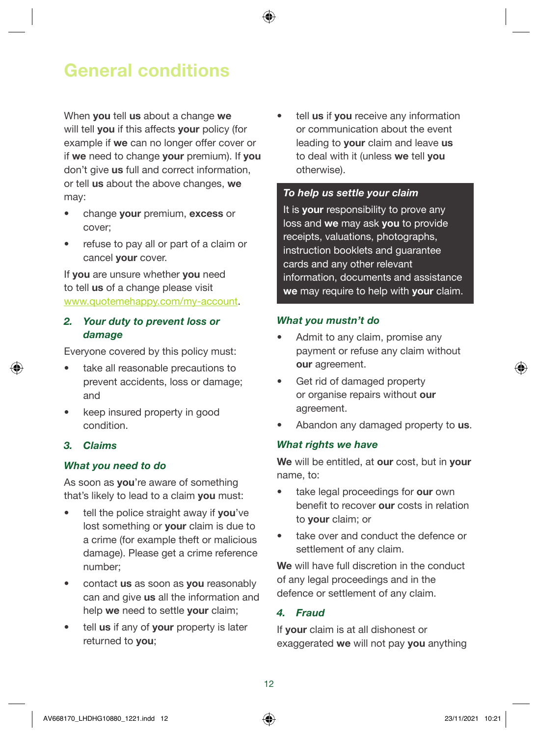### <span id="page-11-0"></span>General conditions

When **you** tell us about a change we will tell **you** if this affects **your** policy (for example if we can no longer offer cover or if we need to change your premium). If you don't give us full and correct information. or tell us about the above changes, we may:

- change your premium, excess or cover;
- refuse to pay all or part of a claim or cancel your cover.

If you are unsure whether you need to tell us of a change please visit [www.quotemehappy.com/my-account](http://www.quotemehappy.com/my-account).

#### 2. Your duty to prevent loss or *damage*

Everyone covered by this policy must:

- take all reasonable precautions to prevent accidents, loss or damage; and
- keep insured property in good condition.

#### 3. Claims

#### What you need to do

As soon as you're aware of something that's likely to lead to a claim you must:

- tell the police straight away if you've lost something or your claim is due to a crime (for example theft or malicious damage). Please get a crime reference number;
- contact us as soon as you reasonably can and give us all the information and help we need to settle your claim:
- tell us if any of your property is later returned to you;

tell us if you receive any information or communication about the event leading to your claim and leave us to deal with it (unless we tell you otherwise).

#### To help us settle your claim

It is your responsibility to prove any loss and we may ask you to provide receipts, valuations, photographs, instruction booklets and guarantee cards and any other relevant information, documents and assistance we may require to help with your claim.

#### What you mustn't do

- Admit to any claim, promise any payment or refuse any claim without our agreement.
- Get rid of damaged property or organise repairs without our agreement.
- Abandon any damaged property to us.

#### What rights we have

We will be entitled, at our cost, but in your name, to:

- take legal proceedings for our own benefit to recover our costs in relation to your claim; or
- take over and conduct the defence or settlement of any claim.

We will have full discretion in the conduct of any legal proceedings and in the defence or settlement of any claim.

#### 4. Fraud

If your claim is at all dishonest or exaggerated we will not pay you anything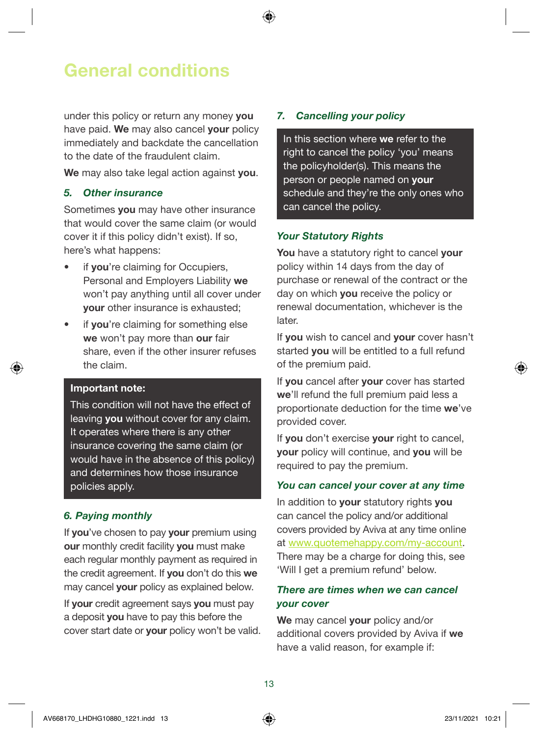### General conditions

under this policy or return any money you have paid. We may also cancel vour policy immediately and backdate the cancellation to the date of the fraudulent claim.

We may also take legal action against you.

#### 5. Other insurance

Sometimes you may have other insurance that would cover the same claim (or would cover it if this policy didn't exist). If so, here's what happens:

- if vou're claiming for Occupiers. Personal and Employers Liability we won't pay anything until all cover under your other insurance is exhausted;
- if you're claiming for something else we won't pay more than our fair share, even if the other insurer refuses the claim.

#### Important note:

This condition will not have the effect of leaving you without cover for any claim. It operates where there is any other insurance covering the same claim (or would have in the absence of this policy) and determines how those insurance policies apply.

#### 6. Paying monthly

If you've chosen to pay your premium using our monthly credit facility you must make each regular monthly payment as required in the credit agreement. If you don't do this we may cancel **your** policy as explained below.

If your credit agreement says you must pay a deposit you have to pay this before the cover start date or your policy won't be valid.

#### 7. Cancelling your policy

In this section where we refer to the right to cancel the policy 'you' means the policyholder(s). This means the person or people named on your schedule and they're the only ones who can cancel the policy.

#### Your Statutory Rights

You have a statutory right to cancel your policy within 14 days from the day of purchase or renewal of the contract or the day on which you receive the policy or renewal documentation, whichever is the later.

If you wish to cancel and your cover hasn't started **you** will be entitled to a full refund of the premium paid.

If you cancel after your cover has started we'll refund the full premium paid less a proportionate deduction for the time we've provided cover.

If you don't exercise your right to cancel, your policy will continue, and you will be required to pay the premium.

#### You can cancel your cover at any time

In addition to your statutory rights you can cancel the policy and/or additional covers provided by Aviva at any time online at [www.quotemehappy.com/my-account](http://www.quotemehappy.com/my-account). There may be a charge for doing this, see 'Will I get a premium refund' below.

#### There are times when we can cancel your cover

We may cancel your policy and/or additional covers provided by Aviva if we have a valid reason, for example if: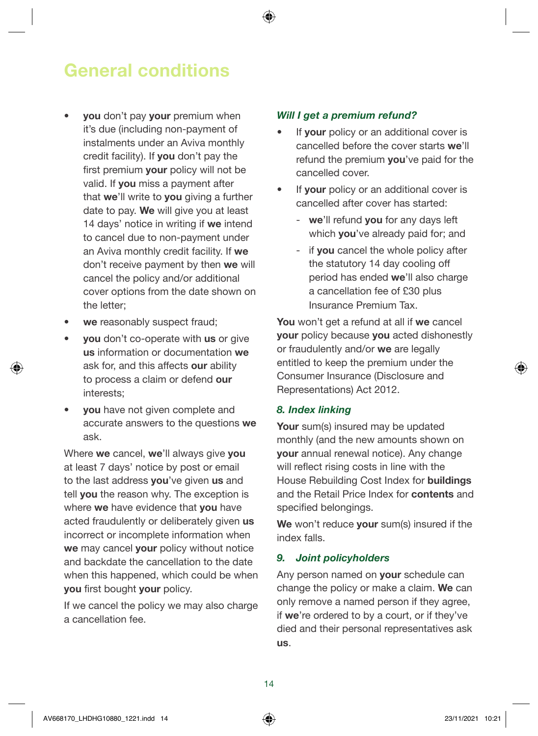### General conditions

- vou don't pay your premium when it's due (including non-payment of instalments under an Aviva monthly credit facility). If you don't pay the first premium **your** policy will not be valid. If you miss a payment after that we'll write to you giving a further date to pay. We will give you at least 14 days' notice in writing if we intend to cancel due to non-payment under an Aviva monthly credit facility. If we don't receive payment by then we will cancel the policy and/or additional cover options from the date shown on the letter;
- we reasonably suspect fraud;
- **you** don't co-operate with us or give us information or documentation we ask for, and this affects our ability to process a claim or defend our interests;
- you have not given complete and accurate answers to the questions we ask.

Where we cancel, we'll always give you at least 7 days' notice by post or email to the last address **you**'ve given us and tell you the reason why. The exception is where we have evidence that you have acted fraudulently or deliberately given us incorrect or incomplete information when we may cancel your policy without notice and backdate the cancellation to the date when this happened, which could be when you first bought your policy.

If we cancel the policy we may also charge a cancellation fee.

#### Will I get a premium refund?

- If **vour** policy or an additional cover is cancelled before the cover starts we'll refund the premium you've paid for the cancelled cover.
- If your policy or an additional cover is cancelled after cover has started:
	- we'll refund you for any days left which you've already paid for; and
	- if you cancel the whole policy after the statutory 14 day cooling off period has ended we'll also charge a cancellation fee of £30 plus Insurance Premium Tax.

You won't get a refund at all if we cancel **your** policy because you acted dishonestly or fraudulently and/or we are legally entitled to keep the premium under the Consumer Insurance (Disclosure and Representations) Act 2012.

#### 8. Index linking

Your sum(s) insured may be updated monthly (and the new amounts shown on your annual renewal notice). Any change will reflect rising costs in line with the House Rebuilding Cost Index for buildings and the Retail Price Index for contents and specified belongings.

We won't reduce your sum(s) insured if the index falls.

#### 9. Joint policyholders

Any person named on your schedule can change the policy or make a claim. We can only remove a named person if they agree, if we're ordered to by a court, or if they've died and their personal representatives ask us.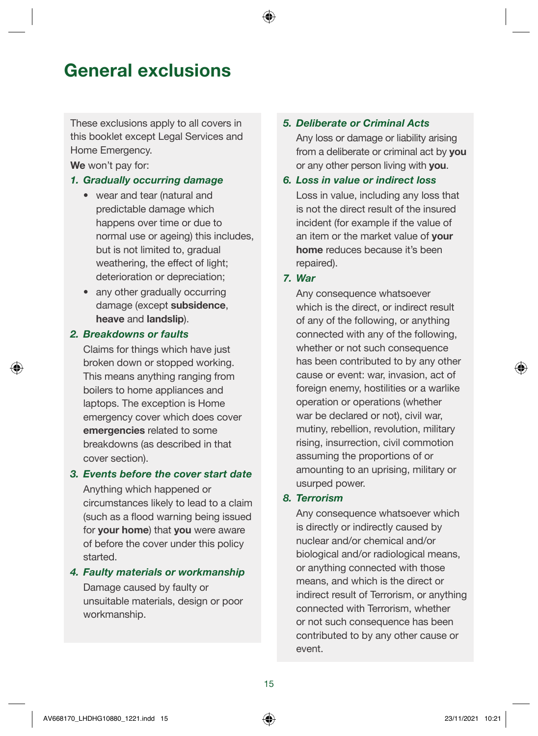### General exclusions

These exclusions apply to all covers in this booklet except Legal Services and Home Emergency.

We won't pay for:

#### 1. Gradually occurring damage

- wear and tear (natural and predictable damage which happens over time or due to normal use or ageing) this includes, but is not limited to, gradual weathering, the effect of light; deterioration or depreciation;
- any other gradually occurring damage (except subsidence, heave and landslip).

#### 2. Breakdowns or faults

Claims for things which have just broken down or stopped working. This means anything ranging from boilers to home appliances and laptops. The exception is Home emergency cover which does cover emergencies related to some breakdowns (as described in that cover section).

#### 3. Events before the cover start date

Anything which happened or circumstances likely to lead to a claim (such as a flood warning being issued for your home) that you were aware of before the cover under this policy started.

#### 4. Faulty materials or workmanship

Damage caused by faulty or unsuitable materials, design or poor workmanship.

#### 5. Deliberate or Criminal Acts

Any loss or damage or liability arising from a deliberate or criminal act by you or any other person living with you.

#### 6. Loss in value or indirect loss

Loss in value, including any loss that is not the direct result of the insured incident (for example if the value of an item or the market value of your home reduces because it's been repaired).

#### *7. War*

Any consequence whatsoever which is the direct, or indirect result of any of the following, or anything connected with any of the following, whether or not such consequence has been contributed to by any other cause or event: war, invasion, act of foreign enemy, hostilities or a warlike operation or operations (whether war be declared or not), civil war, mutiny, rebellion, revolution, military rising, insurrection, civil commotion assuming the proportions of or amounting to an uprising, military or usurped power.

#### 8. Terrorism

Any consequence whatsoever which is directly or indirectly caused by nuclear and/or chemical and/or biological and/or radiological means, or anything connected with those means, and which is the direct or indirect result of Terrorism, or anything connected with Terrorism, whether or not such consequence has been contributed to by any other cause or event.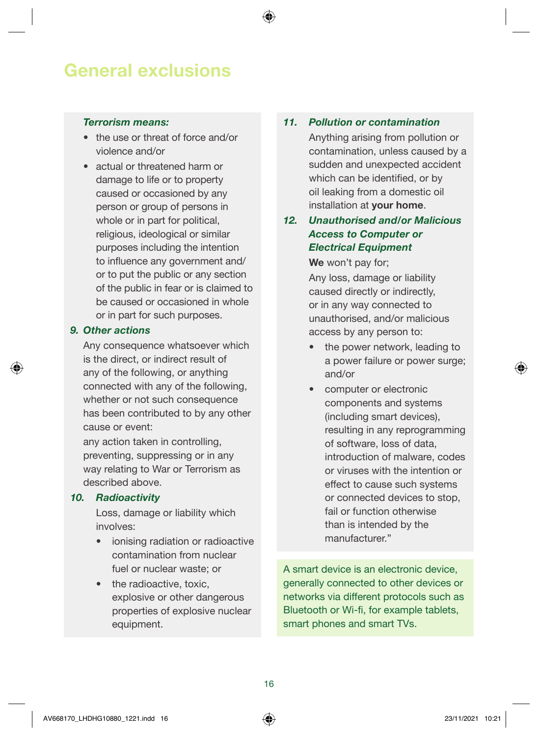### General exclusions

#### Terrorism means:

- the use or threat of force and/or violence and/or
- actual or threatened harm or damage to life or to property caused or occasioned by any person or group of persons in whole or in part for political, religious, ideological or similar purposes including the intention to influence any government and/ or to put the public or any section of the public in fear or is claimed to be caused or occasioned in whole or in part for such purposes.

#### 9. Other actions

Any consequence whatsoever which is the direct, or indirect result of any of the following, or anything connected with any of the following, whether or not such consequence has been contributed to by any other cause or event:

any action taken in controlling, preventing, suppressing or in any way relating to War or Terrorism as described above.

#### 10. Radioactivity

 Loss, damage or liability which involves:

- ionising radiation or radioactive contamination from nuclear fuel or nuclear waste; or
- the radioactive, toxic. explosive or other dangerous properties of explosive nuclear equipment.

#### 11. Pollution or contamination

 Anything arising from pollution or contamination, unless caused by a sudden and unexpected accident which can be identified, or by oil leaking from a domestic oil installation at your home.

#### 12. Unauthorised and/or Malicious Access to Computer or Electrical Equipment

#### We won't pay for;

 Any loss, damage or liability caused directly or indirectly, or in any way connected to unauthorised, and/or malicious access by any person to:

- the power network, leading to a power failure or power surge; and/or
- computer or electronic components and systems (including smart devices), resulting in any reprogramming of software, loss of data, introduction of malware, codes or viruses with the intention or effect to cause such systems or connected devices to stop, fail or function otherwise than is intended by the manufacturer."

A smart device is an electronic device, generally connected to other devices or networks via different protocols such as Bluetooth or Wi-fi, for example tablets, smart phones and smart TVs.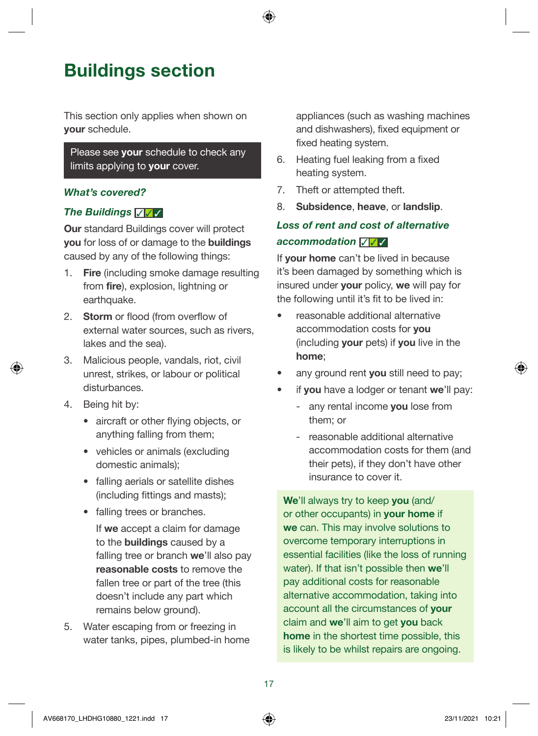### Buildings section

This section only applies when shown on your schedule.

#### Please see your schedule to check any limits applying to **your** cover.

#### What's covered?

#### The Buildings √ √

**Our standard Buildings cover will protect** you for loss of or damage to the buildings caused by any of the following things:

- 1. Fire (including smoke damage resulting from **fire**), explosion, lightning or earthquake.
- 2. Storm or flood (from overflow of external water sources, such as rivers, lakes and the sea).
- 3. Malicious people, vandals, riot, civil unrest, strikes, or labour or political disturbances.
- 4. Being hit by:
	- aircraft or other flying objects, or anything falling from them;
	- vehicles or animals (excluding domestic animals);
	- falling aerials or satellite dishes (including fittings and masts);
	- falling trees or branches.

 If we accept a claim for damage to the buildings caused by a falling tree or branch we'll also pay reasonable costs to remove the fallen tree or part of the tree (this doesn't include any part which remains below ground).

5. Water escaping from or freezing in water tanks, pipes, plumbed-in home appliances (such as washing machines and dishwashers), fixed equipment or fixed heating system.

- 6. Heating fuel leaking from a fixed heating system.
- 7. Theft or attempted theft.
- 8. Subsidence, heave, or landslip.

#### Loss of rent and cost of alternative accommodation  $∇ √$

If **your home** can't be lived in because it's been damaged by something which is insured under your policy, we will pay for the following until it's fit to be lived in:

- reasonable additional alternative accommodation costs for you (including your pets) if you live in the home;
- any ground rent you still need to pay;
- if you have a lodger or tenant we'll pay:
	- any rental income you lose from them; or
	- reasonable additional alternative accommodation costs for them (and their pets), if they don't have other insurance to cover it.

We'll always try to keep you (and/ or other occupants) in your home if we can. This may involve solutions to overcome temporary interruptions in essential facilities (like the loss of running water). If that isn't possible then we'll pay additional costs for reasonable alternative accommodation, taking into account all the circumstances of your claim and we'll aim to get you back home in the shortest time possible, this is likely to be whilst repairs are ongoing.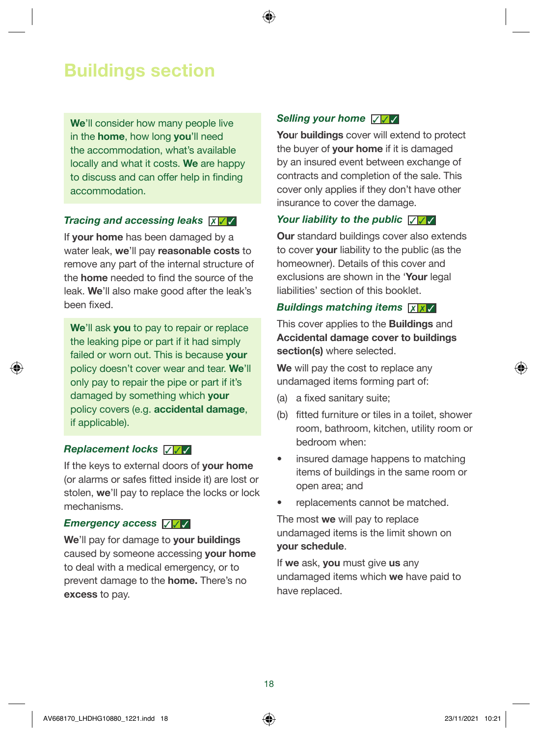### Buildings section

We'll consider how many people live in the home, how long you'll need the accommodation, what's available locally and what it costs. We are happy to discuss and can offer help in finding accommodation.

#### Tracing and accessing leaks  $x / \sqrt{2}$

If your home has been damaged by a water leak, we'll pay reasonable costs to remove any part of the internal structure of the home needed to find the source of the leak. We'll also make good after the leak's been fixed.

We'll ask you to pay to repair or replace the leaking pipe or part if it had simply failed or worn out. This is because **your** policy doesn't cover wear and tear. We'll only pay to repair the pipe or part if it's damaged by something which your policy covers (e.g. accidental damage, if applicable).

#### Replacement locks  $∇ √$

If the keys to external doors of your home (or alarms or safes fitted inside it) are lost or stolen, we'll pay to replace the locks or lock mechanisms.

#### Emergency access √ √ √

We'll pay for damage to your buildings caused by someone accessing your home to deal with a medical emergency, or to prevent damage to the home. There's no excess to pay.

#### Selling your home ▽ ▽

Your buildings cover will extend to protect the buyer of **your home** if it is damaged by an insured event between exchange of contracts and completion of the sale. This cover only applies if they don't have other insurance to cover the damage.

#### Your liability to the public  $\sqrt{1/\sqrt{2}}$

Our standard buildings cover also extends to cover your liability to the public (as the homeowner). Details of this cover and exclusions are shown in the 'Your legal liabilities' section of this booklet.

#### Buildings matching items **XX**

This cover applies to the Buildings and Accidental damage cover to buildings section(s) where selected.

We will pay the cost to replace any undamaged items forming part of:

- (a) a fixed sanitary suite;
- (b) fitted furniture or tiles in a toilet, shower room, bathroom, kitchen, utility room or bedroom when:
- insured damage happens to matching items of buildings in the same room or open area; and
- replacements cannot be matched.

The most we will pay to replace undamaged items is the limit shown on your schedule.

If we ask, you must give us any undamaged items which we have paid to have replaced.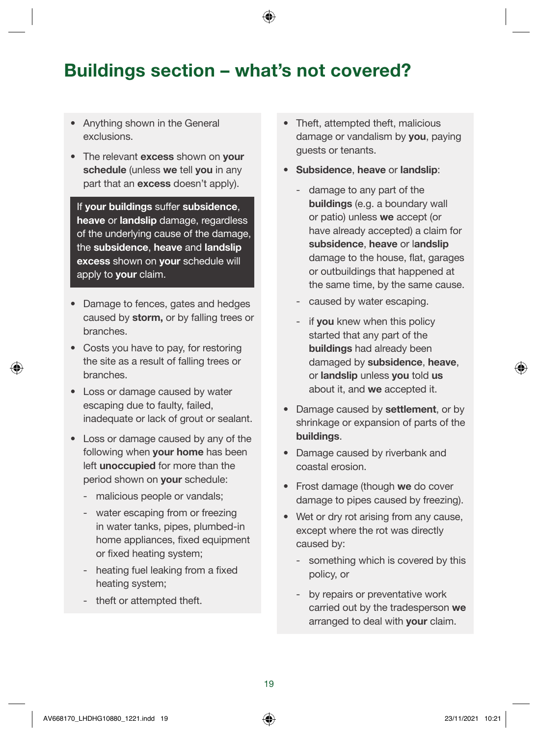### Buildings section – what's not covered?

- Anything shown in the General exclusions.
- The relevant excess shown on your schedule (unless we tell you in any part that an **excess** doesn't apply).

If your buildings suffer subsidence, heave or landslip damage, regardless of the underlying cause of the damage, the subsidence, heave and landslip excess shown on your schedule will apply to **your** claim.

- Damage to fences, gates and hedges caused by storm, or by falling trees or branches.
- Costs you have to pay, for restoring the site as a result of falling trees or branches.
- Loss or damage caused by water escaping due to faulty, failed, inadequate or lack of grout or sealant.
- Loss or damage caused by any of the following when your home has been left unoccupied for more than the period shown on your schedule:
	- malicious people or vandals;
	- water escaping from or freezing in water tanks, pipes, plumbed-in home appliances, fixed equipment or fixed heating system;
	- heating fuel leaking from a fixed heating system;
	- theft or attempted theft.
- Theft, attempted theft, malicious damage or vandalism by **you**, paying guests or tenants.
- Subsidence, heave or landslip:
	- damage to any part of the buildings (e.g. a boundary wall or patio) unless we accept (or have already accepted) a claim for subsidence, heave or landslip damage to the house, flat, garages or outbuildings that happened at the same time, by the same cause.
	- caused by water escaping.
	- if you knew when this policy started that any part of the buildings had already been damaged by subsidence, heave, or landslip unless you told us about it, and we accepted it.
- Damage caused by settlement, or by shrinkage or expansion of parts of the buildings.
- Damage caused by riverbank and coastal erosion.
- Frost damage (though we do cover damage to pipes caused by freezing).
- Wet or dry rot arising from any cause, except where the rot was directly caused by:
	- something which is covered by this policy, or
	- by repairs or preventative work carried out by the tradesperson we arranged to deal with your claim.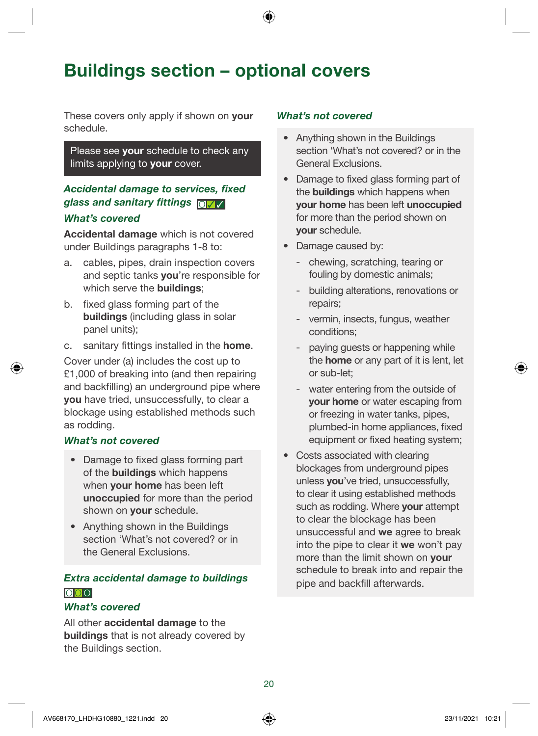### Buildings section – optional covers

These covers only apply if shown on **your** schedule.

Please see your schedule to check any limits applying to **your** cover.

#### Accidental damage to services, fixed glass and sanitary fittings <sub>O</sub> What's covered

Accidental damage which is not covered under Buildings paragraphs 1-8 to:

- a. cables, pipes, drain inspection covers and septic tanks you're responsible for which serve the **buildings**;
- b. fixed glass forming part of the buildings (including glass in solar panel units);
- c. sanitary fittings installed in the home.

Cover under (a) includes the cost up to £1,000 of breaking into (and then repairing and backfilling) an underground pipe where you have tried, unsuccessfully, to clear a blockage using established methods such as rodding.

#### What's not covered

- Damage to fixed glass forming part of the buildings which happens when **your home** has been left unoccupied for more than the period shown on **your** schedule.
- Anything shown in the Buildings section 'What's not covered? or in the General Exclusions.

#### Extra accidental damage to buildings O O O

#### What's covered

All other **accidental damage** to the buildings that is not already covered by the Buildings section.

- Anything shown in the Buildings section 'What's not covered? or in the General Exclusions.
- Damage to fixed glass forming part of the buildings which happens when your home has been left unoccupied for more than the period shown on your schedule.
- Damage caused by:
	- chewing, scratching, tearing or fouling by domestic animals;
	- building alterations, renovations or repairs;
	- vermin, insects, fungus, weather conditions;
	- paying guests or happening while the home or any part of it is lent, let or sub-let;
	- water entering from the outside of your home or water escaping from or freezing in water tanks, pipes, plumbed-in home appliances, fixed equipment or fixed heating system;
- Costs associated with clearing blockages from underground pipes unless you've tried, unsuccessfully, to clear it using established methods such as rodding. Where your attempt to clear the blockage has been unsuccessful and we agree to break into the pipe to clear it we won't pay more than the limit shown on your schedule to break into and repair the pipe and backfill afterwards.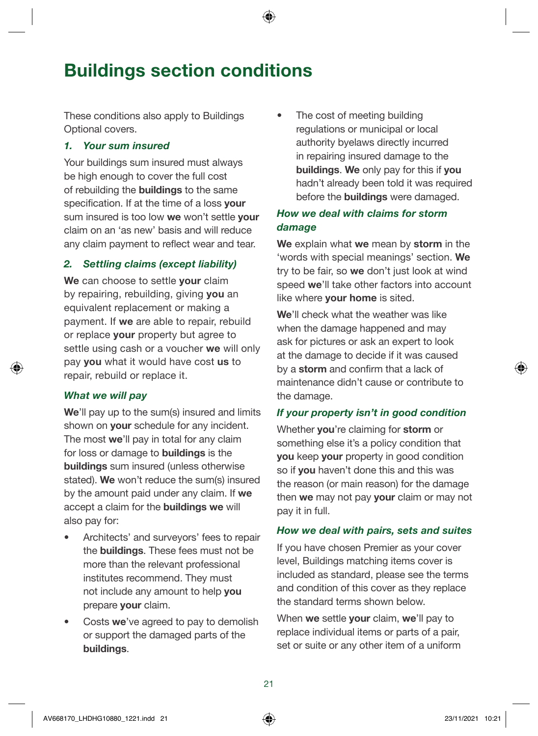### Buildings section conditions

These conditions also apply to Buildings Optional covers.

#### 1. Your sum insured

Your buildings sum insured must always be high enough to cover the full cost of rebuilding the buildings to the same specification. If at the time of a loss your sum insured is too low we won't settle your claim on an 'as new' basis and will reduce any claim payment to reflect wear and tear.

#### 2. Settling claims (except liability)

We can choose to settle your claim by repairing, rebuilding, giving you an equivalent replacement or making a payment. If we are able to repair, rebuild or replace your property but agree to settle using cash or a voucher we will only pay you what it would have cost us to repair, rebuild or replace it.

#### What we will pay

We'll pay up to the sum(s) insured and limits shown on your schedule for any incident. The most we'll pay in total for any claim for loss or damage to buildings is the buildings sum insured (unless otherwise stated). We won't reduce the sum(s) insured by the amount paid under any claim. If we accept a claim for the buildings we will also pay for:

- Architects' and surveyors' fees to repair the buildings. These fees must not be more than the relevant professional institutes recommend. They must not include any amount to help you prepare your claim.
- Costs we've agreed to pay to demolish or support the damaged parts of the buildings.

The cost of meeting building regulations or municipal or local authority byelaws directly incurred in repairing insured damage to the buildings. We only pay for this if you hadn't already been told it was required before the buildings were damaged.

#### How we deal with claims for storm *damage*

We explain what we mean by storm in the 'words with special meanings' section. We try to be fair, so we don't just look at wind speed we'll take other factors into account like where **your home** is sited.

We'll check what the weather was like when the damage happened and may ask for pictures or ask an expert to look at the damage to decide if it was caused by a storm and confirm that a lack of maintenance didn't cause or contribute to the damage.

#### If your property isn't in good condition

Whether you're claiming for storm or something else it's a policy condition that **you** keep **your** property in good condition so if you haven't done this and this was the reason (or main reason) for the damage then we may not pay your claim or may not pay it in full.

#### How we deal with pairs, sets and suites

If you have chosen Premier as your cover level, Buildings matching items cover is included as standard, please see the terms and condition of this cover as they replace the standard terms shown below.

When we settle your claim, we'll pay to replace individual items or parts of a pair, set or suite or any other item of a uniform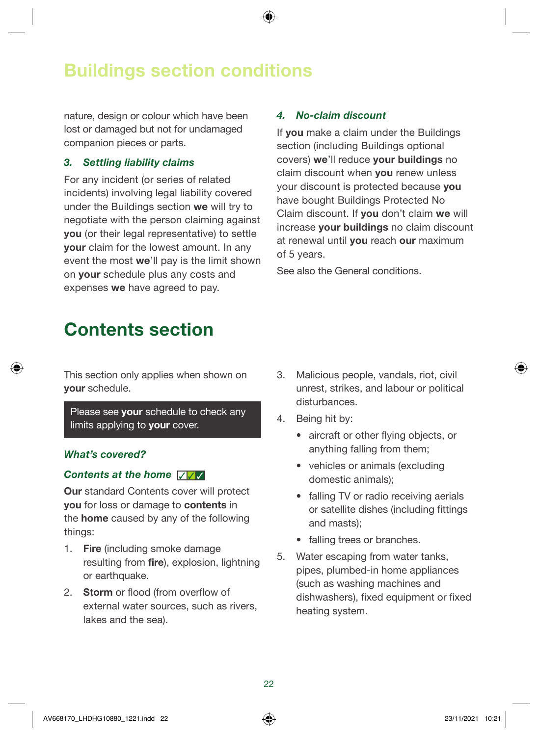### Buildings section conditions

nature, design or colour which have been lost or damaged but not for undamaged companion pieces or parts.

#### 3. Settling liability claims

For any incident (or series of related incidents) involving legal liability covered under the Buildings section we will try to negotiate with the person claiming against you (or their legal representative) to settle your claim for the lowest amount. In any event the most we'll pay is the limit shown on your schedule plus any costs and expenses we have agreed to pay.

#### 4. No-claim discount

If you make a claim under the Buildings section (including Buildings optional covers) we'll reduce your buildings no claim discount when **you** renew unless your discount is protected because you have bought Buildings Protected No Claim discount. If you don't claim we will increase your buildings no claim discount at renewal until you reach our maximum of 5 years.

See also the General conditions.

### Contents section

This section only applies when shown on your schedule.

Please see your schedule to check any limits applying to your cover.

#### What's covered?

#### Contents at the home <del>▽ </del>

**Our standard Contents cover will protect** you for loss or damage to contents in the home caused by any of the following things:

- 1. Fire (including smoke damage resulting from fire), explosion, lightning or earthquake.
- 2. Storm or flood (from overflow of external water sources, such as rivers, lakes and the sea).
- 3. Malicious people, vandals, riot, civil unrest, strikes, and labour or political disturbances.
- 4. Being hit by:
	- aircraft or other flying objects, or anything falling from them;
	- vehicles or animals (excluding domestic animals);
	- falling TV or radio receiving aerials or satellite dishes (including fittings and masts);
	- falling trees or branches.
- 5. Water escaping from water tanks, pipes, plumbed-in home appliances (such as washing machines and dishwashers), fixed equipment or fixed heating system.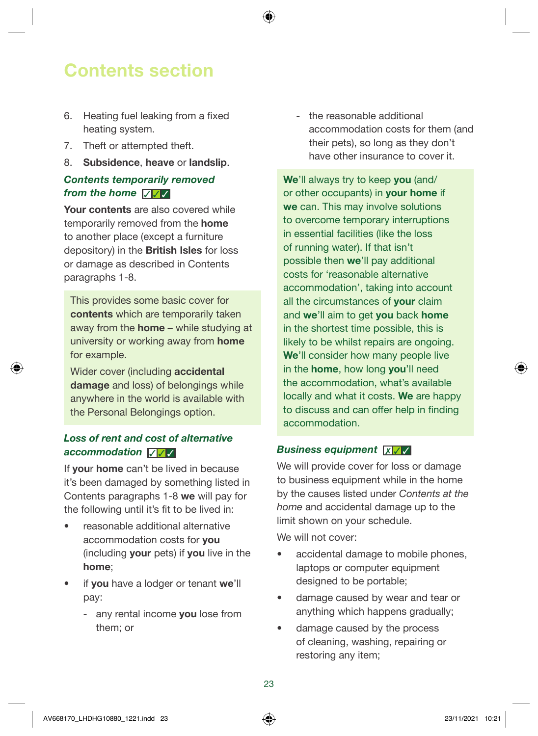### Contents section

- 6. Heating fuel leaking from a fixed heating system.
- 7. Theft or attempted theft.
- 8. Subsidence, heave or landslip.

#### Contents temporarily removed *from the home* <del>√ √</del>

Your contents are also covered while temporarily removed from the home to another place (except a furniture depository) in the British Isles for loss or damage as described in Contents paragraphs 1-8.

This provides some basic cover for contents which are temporarily taken away from the home – while studying at university or working away from home for example.

Wider cover (including accidental damage and loss) of belongings while anywhere in the world is available with the Personal Belongings option.

#### Loss of rent and cost of alternative accommodation **<del>▽** </del>

If your home can't be lived in because it's been damaged by something listed in Contents paragraphs 1-8 we will pay for the following until it's fit to be lived in:

- reasonable additional alternative accommodation costs for you (including your pets) if you live in the home;
- if you have a lodger or tenant we'll pay:
	- any rental income you lose from them; or

 - the reasonable additional accommodation costs for them (and their pets), so long as they don't have other insurance to cover it.

We'll always try to keep you (and/ or other occupants) in your home if we can. This may involve solutions to overcome temporary interruptions in essential facilities (like the loss of running water). If that isn't possible then we'll pay additional costs for 'reasonable alternative accommodation', taking into account all the circumstances of **vour** claim and we'll aim to get you back home in the shortest time possible, this is likely to be whilst repairs are ongoing. We'll consider how many people live in the **home**, how long you'll need the accommodation, what's available locally and what it costs. We are happy to discuss and can offer help in finding accommodation.

#### Business equipment **<u><del>x</u>** √ </u></del>

We will provide cover for loss or damage to business equipment while in the home by the causes listed under *Contents at the home* and accidental damage up to the limit shown on your schedule.

We will not cover:

- accidental damage to mobile phones, laptops or computer equipment designed to be portable;
- damage caused by wear and tear or anything which happens gradually;
- damage caused by the process of cleaning, washing, repairing or restoring any item;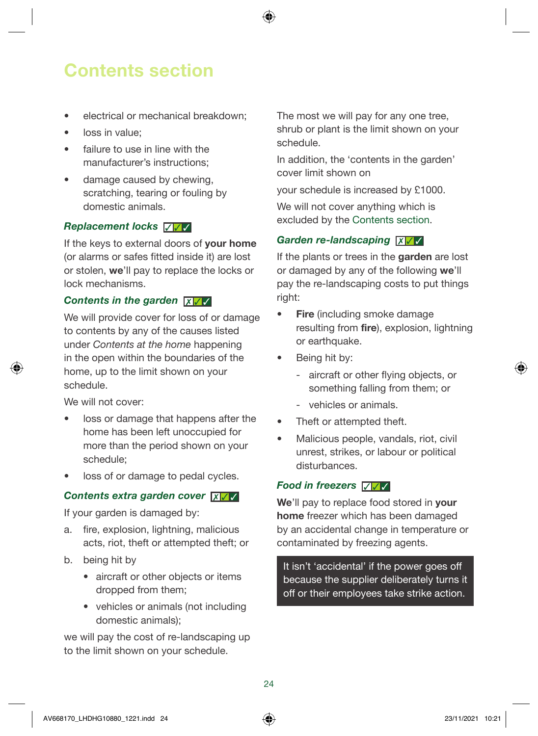### Contents section

- electrical or mechanical breakdown:
- loss in value;
- failure to use in line with the manufacturer's instructions;
- damage caused by chewing, scratching, tearing or fouling by domestic animals.

#### Replacement locks  $∇ √$

If the keys to external doors of your home (or alarms or safes fitted inside it) are lost or stolen, we'll pay to replace the locks or lock mechanisms.

#### Contents in the garden **<del>x**</del>

We will provide cover for loss of or damage to contents by any of the causes listed under *Contents at the home* happening in the open within the boundaries of the home, up to the limit shown on your schedule.

We will not cover:

- loss or damage that happens after the home has been left unoccupied for more than the period shown on your schedule;
- loss of or damage to pedal cycles.

#### Contents extra garden cover **x** √ √

If your garden is damaged by:

- a. fire, explosion, lightning, malicious acts, riot, theft or attempted theft; or
- b. being hit by
	- aircraft or other objects or items dropped from them;
	- vehicles or animals (not including domestic animals);

we will pay the cost of re-landscaping up to the limit shown on your schedule.

The most we will pay for any one tree, shrub or plant is the limit shown on your schedule.

In addition, the 'contents in the garden' cover limit shown on

your schedule is increased by £1000.

We will not cover anything which is excluded by the Contents section.

#### Garden re-landscaping **X**

If the plants or trees in the **garden** are lost or damaged by any of the following we'll pay the re-landscaping costs to put things right:

- Fire (including smoke damage resulting from **fire**), explosion, lightning or earthquake.
- Being hit by:
	- aircraft or other flying objects, or something falling from them; or
	- vehicles or animals.
- Theft or attempted theft.
- Malicious people, vandals, riot, civil unrest, strikes, or labour or political disturbances.

#### Food in freezers √ √ √

We'll pay to replace food stored in your home freezer which has been damaged by an accidental change in temperature or contaminated by freezing agents.

It isn't 'accidental' if the power goes off because the supplier deliberately turns it off or their employees take strike action.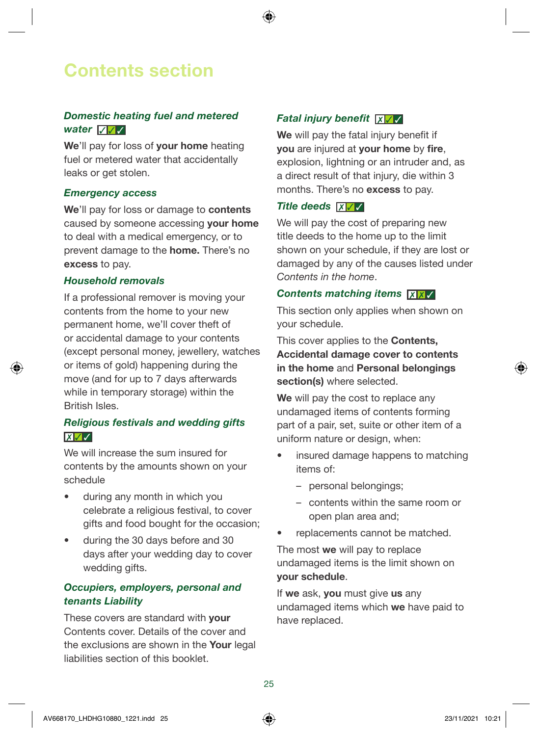### Contents section

#### Domestic heating fuel and metered *water* **<del>**⊽ </del>

We'll pay for loss of your home heating fuel or metered water that accidentally leaks or get stolen.

#### Emergency access

We'll pay for loss or damage to contents caused by someone accessing your home to deal with a medical emergency, or to prevent damage to the home. There's no excess to pay.

#### Household removals

If a professional remover is moving your contents from the home to your new permanent home, we'll cover theft of or accidental damage to your contents (except personal money, jewellery, watches or items of gold) happening during the move (and for up to 7 days afterwards while in temporary storage) within the British Isles.

#### Religious festivals and wedding gifts  $\boxed{\mathbf{X} \mathbf{I} \mathbf{I} \mathbf{I} \mathbf{I}}$

We will increase the sum insured for contents by the amounts shown on your schedule

- during any month in which you celebrate a religious festival, to cover gifts and food bought for the occasion;
- during the 30 days before and 30 days after your wedding day to cover wedding gifts.

#### Occupiers, employers, personal and tenants Liability

These covers are standard with **your** Contents cover. Details of the cover and the exclusions are shown in the **Your** legal liabilities section of this booklet.

#### Fatal injury benefit ✗ ✓ ✓

We will pay the fatal injury benefit if **vou** are injured at **your home** by fire. explosion, lightning or an intruder and, as a direct result of that injury, die within 3 months. There's no excess to pay.

#### Title deeds  $\overline{X}$   $\overline{Y}$

We will pay the cost of preparing new title deeds to the home up to the limit shown on your schedule, if they are lost or damaged by any of the causes listed under *Contents in the home*.

#### Contents matching items **XX**

This section only applies when shown on your schedule.

This cover applies to the Contents, Accidental damage cover to contents in the home and Personal belongings section(s) where selected.

We will pay the cost to replace any undamaged items of contents forming part of a pair, set, suite or other item of a uniform nature or design, when:

- insured damage happens to matching items of:
	- personal belongings;
	- contents within the same room or open plan area and;
- replacements cannot be matched.

The most we will pay to replace undamaged items is the limit shown on your schedule.

If we ask, you must give us any undamaged items which we have paid to have replaced.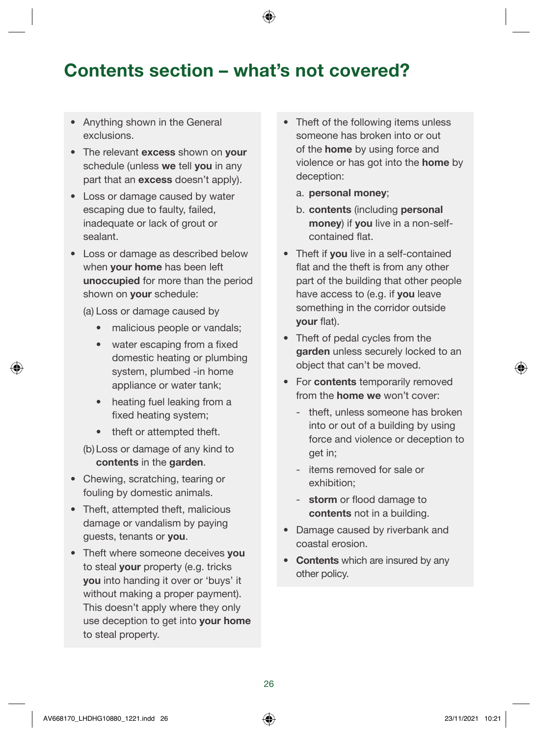### Contents section – what's not covered?

- Anything shown in the General exclusions.
- The relevant excess shown on your schedule (unless we tell you in any part that an excess doesn't apply).
- Loss or damage caused by water escaping due to faulty, failed, inadequate or lack of grout or sealant.
- Loss or damage as described below when **your home** has been left unoccupied for more than the period shown on **your** schedule:

(a) Loss or damage caused by

- malicious people or vandals;
- water escaping from a fixed domestic heating or plumbing system, plumbed -in home appliance or water tank;
- heating fuel leaking from a fixed heating system;
- theft or attempted theft.
- (b) Loss or damage of any kind to contents in the garden.
- Chewing, scratching, tearing or fouling by domestic animals.
- Theft, attempted theft, malicious damage or vandalism by paying guests, tenants or you.
- Theft where someone deceives you to steal your property (e.g. tricks you into handing it over or 'buys' it without making a proper payment). This doesn't apply where they only use deception to get into your home to steal property.
- Theft of the following items unless someone has broken into or out of the home by using force and violence or has got into the home by deception:
	- a. personal money;
	- b. contents (including personal money) if you live in a non-selfcontained flat.
- Theft if you live in a self-contained flat and the theft is from any other part of the building that other people have access to (e.g. if you leave something in the corridor outside your flat).
- Theft of pedal cycles from the garden unless securely locked to an object that can't be moved.
- For contents temporarily removed from the home we won't cover:
	- theft, unless someone has broken into or out of a building by using force and violence or deception to get in;
	- items removed for sale or exhibition;
	- storm or flood damage to contents not in a building.
- Damage caused by riverbank and coastal erosion.
- Contents which are insured by any other policy.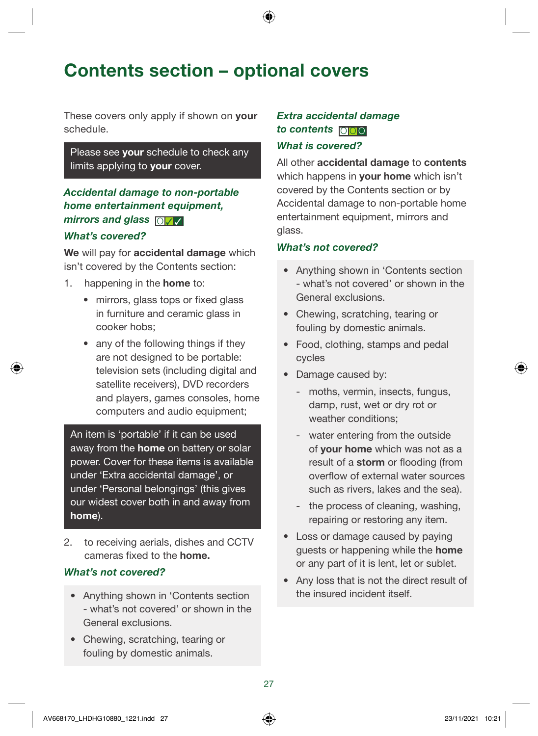### Contents section – optional covers

These covers only apply if shown on **your** schedule.

#### Please see your schedule to check any limits applying to **your** cover.

#### Accidental damage to non-portable home entertainment equipment, mirrors and glass  $\Box$

#### What's covered?

We will pay for accidental damage which isn't covered by the Contents section:

- 1. happening in the **home** to:
	- mirrors, glass tops or fixed glass in furniture and ceramic glass in cooker hobs;
	- any of the following things if they are not designed to be portable: television sets (including digital and satellite receivers), DVD recorders and players, games consoles, home computers and audio equipment;

An item is 'portable' if it can be used away from the **home** on battery or solar power. Cover for these items is available under 'Extra accidental damage', or under 'Personal belongings' (this gives our widest cover both in and away from home).

2. to receiving aerials, dishes and CCTV cameras fixed to the home.

#### What's not covered?

- Anything shown in 'Contents section - what's not covered' or shown in the General exclusions.
- Chewing, scratching, tearing or fouling by domestic animals.

#### Extra accidental damage to contents  $\Box$

#### What is covered?

All other accidental damage to contents which happens in your home which isn't covered by the Contents section or by Accidental damage to non-portable home entertainment equipment, mirrors and glass.

#### What's not covered?

- Anything shown in 'Contents section - what's not covered' or shown in the General exclusions.
- Chewing, scratching, tearing or fouling by domestic animals.
- Food, clothing, stamps and pedal cycles
- Damage caused by:
	- moths, vermin, insects, fungus, damp, rust, wet or dry rot or weather conditions;
	- water entering from the outside of your home which was not as a result of a storm or flooding (from overflow of external water sources such as rivers, lakes and the sea).
	- the process of cleaning, washing, repairing or restoring any item.
- Loss or damage caused by paying guests or happening while the home or any part of it is lent, let or sublet.
- Any loss that is not the direct result of the insured incident itself.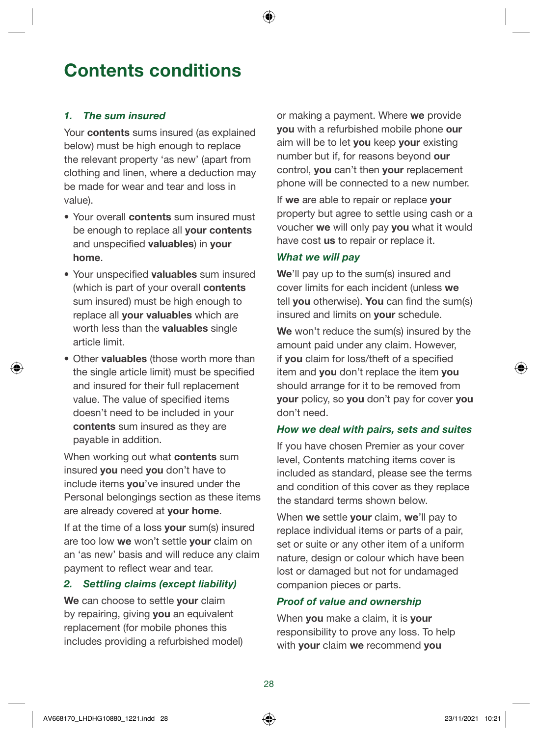### <span id="page-27-0"></span>Contents conditions

#### 1. The sum insured

Your **contents** sums insured (as explained below) must be high enough to replace the relevant property 'as new' (apart from clothing and linen, where a deduction may be made for wear and tear and loss in value).

- Your overall contents sum insured must be enough to replace all your contents and unspecified valuables) in your home.
- Your unspecified valuables sum insured (which is part of your overall contents sum insured) must be high enough to replace all **vour valuables** which are worth less than the valuables single article limit.
- Other **valuables** (those worth more than the single article limit) must be specified and insured for their full replacement value. The value of specified items doesn't need to be included in your contents sum insured as they are payable in addition.

When working out what **contents** sum insured you need you don't have to include items you've insured under the Personal belongings section as these items are already covered at your home.

If at the time of a loss **your** sum(s) insured are too low we won't settle your claim on an 'as new' basis and will reduce any claim payment to reflect wear and tear.

#### 2. Settling claims (except liability)

We can choose to settle your claim by repairing, giving you an equivalent replacement (for mobile phones this includes providing a refurbished model) or making a payment. Where we provide you with a refurbished mobile phone our aim will be to let vou keep vour existing number but if, for reasons beyond our control, you can't then your replacement phone will be connected to a new number.

If we are able to repair or replace vour property but agree to settle using cash or a voucher we will only pay you what it would have cost us to repair or replace it.

#### What we will pay

We'll pay up to the sum(s) insured and cover limits for each incident (unless we tell you otherwise). You can find the sum(s) insured and limits on your schedule.

We won't reduce the sum(s) insured by the amount paid under any claim. However, if you claim for loss/theft of a specified item and you don't replace the item you should arrange for it to be removed from your policy, so you don't pay for cover you don't need.

#### How we deal with pairs, sets and suites

If you have chosen Premier as your cover level, Contents matching items cover is included as standard, please see the terms and condition of this cover as they replace the standard terms shown below.

When we settle your claim, we'll pay to replace individual items or parts of a pair, set or suite or any other item of a uniform nature, design or colour which have been lost or damaged but not for undamaged companion pieces or parts.

#### Proof of value and ownership

When you make a claim, it is your responsibility to prove any loss. To help with your claim we recommend you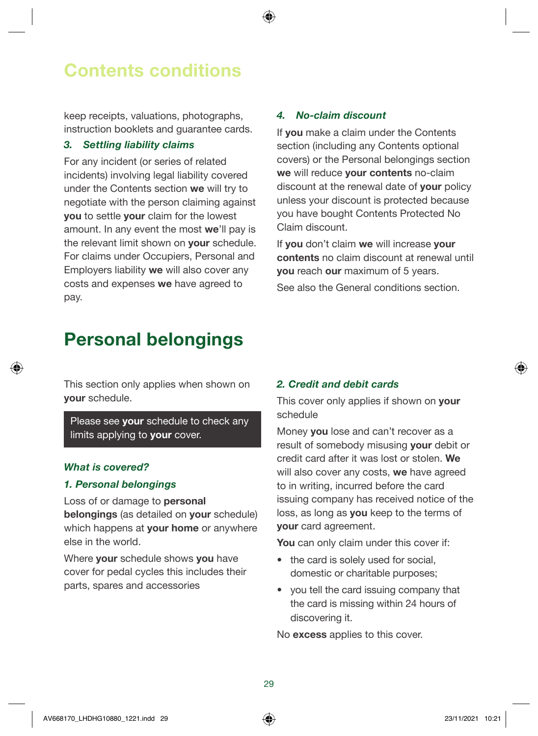### Contents conditions

keep receipts, valuations, photographs, instruction booklets and guarantee cards.

#### 3. Settling liability claims

For any incident (or series of related incidents) involving legal liability covered under the Contents section we will try to negotiate with the person claiming against you to settle your claim for the lowest amount. In any event the most we'll pay is the relevant limit shown on **vour** schedule. For claims under Occupiers, Personal and Employers liability we will also cover any costs and expenses we have agreed to pay.

#### 4. No-claim discount

If you make a claim under the Contents section (including any Contents optional covers) or the Personal belongings section we will reduce your contents no-claim discount at the renewal date of your policy unless your discount is protected because you have bought Contents Protected No Claim discount.

If you don't claim we will increase your contents no claim discount at renewal until you reach our maximum of 5 years.

See also the General conditions section.

### Personal belongings

This section only applies when shown on your schedule.

Please see your schedule to check any limits applying to your cover.

#### What is covered?

#### 1. Personal belongings

Loss of or damage to personal belongings (as detailed on your schedule) which happens at your home or anywhere else in the world.

Where your schedule shows you have cover for pedal cycles this includes their parts, spares and accessories

#### 2. Credit and debit cards

This cover only applies if shown on **your** schedule

Money you lose and can't recover as a result of somebody misusing your debit or credit card after it was lost or stolen. We will also cover any costs, we have agreed to in writing, incurred before the card issuing company has received notice of the loss, as long as you keep to the terms of your card agreement.

You can only claim under this cover if:

- the card is solely used for social, domestic or charitable purposes;
- you tell the card issuing company that the card is missing within 24 hours of discovering it.

No excess applies to this cover.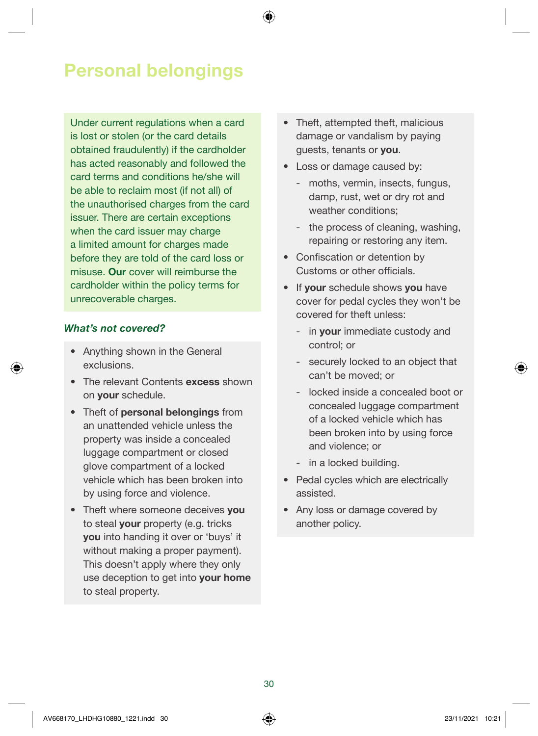### Personal belongings

Under current regulations when a card is lost or stolen (or the card details obtained fraudulently) if the cardholder has acted reasonably and followed the card terms and conditions he/she will be able to reclaim most (if not all) of the unauthorised charges from the card issuer. There are certain exceptions when the card issuer may charge a limited amount for charges made before they are told of the card loss or misuse. Our cover will reimburse the cardholder within the policy terms for unrecoverable charges.

#### What's not covered?

- Anything shown in the General exclusions.
- The relevant Contents excess shown on your schedule.
- Theft of personal belongings from an unattended vehicle unless the property was inside a concealed luggage compartment or closed glove compartment of a locked vehicle which has been broken into by using force and violence.
- Theft where someone deceives you to steal your property (e.g. tricks you into handing it over or 'buys' it without making a proper payment). This doesn't apply where they only use deception to get into your home to steal property.
- Theft, attempted theft, malicious damage or vandalism by paying guests, tenants or you.
- Loss or damage caused by:
	- moths, vermin, insects, fungus, damp, rust, wet or dry rot and weather conditions:
	- the process of cleaning, washing, repairing or restoring any item.
- Confiscation or detention by Customs or other officials.
- If your schedule shows you have cover for pedal cycles they won't be covered for theft unless:
	- in **vour** immediate custody and control; or
	- securely locked to an object that can't be moved; or
	- locked inside a concealed boot or concealed luggage compartment of a locked vehicle which has been broken into by using force and violence; or
	- in a locked building.
- Pedal cycles which are electrically assisted.
- Any loss or damage covered by another policy.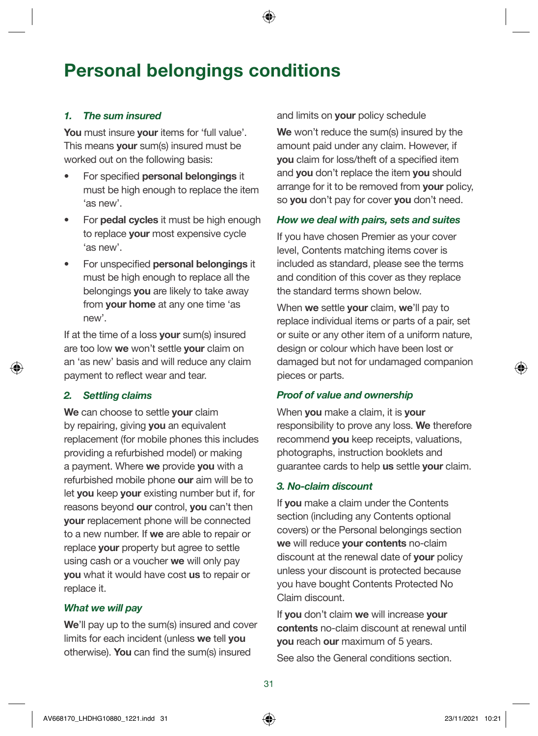### Personal belongings conditions

#### 1. The sum insured

You must insure your items for 'full value'. This means your sum(s) insured must be worked out on the following basis:

- For specified personal belongings it must be high enough to replace the item 'as new'.
- For **pedal cycles** it must be high enough to replace your most expensive cycle 'as new'.
- For unspecified personal belongings it must be high enough to replace all the belongings you are likely to take away from your home at any one time 'as new'.

If at the time of a loss your sum(s) insured are too low we won't settle vour claim on an 'as new' basis and will reduce any claim payment to reflect wear and tear.

#### 2. Settling claims

We can choose to settle your claim by repairing, giving you an equivalent replacement (for mobile phones this includes providing a refurbished model) or making a payment. Where we provide you with a refurbished mobile phone our aim will be to let you keep your existing number but if, for reasons beyond our control, you can't then your replacement phone will be connected to a new number. If we are able to repair or replace your property but agree to settle using cash or a voucher we will only pay you what it would have cost us to repair or replace it.

#### What we will pay

We'll pay up to the sum(s) insured and cover limits for each incident (unless we tell you otherwise). You can find the sum(s) insured

and limits on **vour** policy schedule

We won't reduce the sum(s) insured by the amount paid under any claim. However, if you claim for loss/theft of a specified item and you don't replace the item you should arrange for it to be removed from your policy, so you don't pay for cover you don't need.

#### How we deal with pairs, sets and suites

If you have chosen Premier as your cover level, Contents matching items cover is included as standard, please see the terms and condition of this cover as they replace the standard terms shown below.

When we settle your claim, we'll pay to replace individual items or parts of a pair, set or suite or any other item of a uniform nature, design or colour which have been lost or damaged but not for undamaged companion pieces or parts.

#### Proof of value and ownership

When you make a claim, it is your responsibility to prove any loss. We therefore recommend **you** keep receipts, valuations, photographs, instruction booklets and quarantee cards to help us settle your claim.

#### 3. No-claim discount

If you make a claim under the Contents section (including any Contents optional covers) or the Personal belongings section we will reduce your contents no-claim discount at the renewal date of your policy unless your discount is protected because you have bought Contents Protected No Claim discount.

If you don't claim we will increase your contents no-claim discount at renewal until you reach our maximum of 5 years.

See also the General conditions section.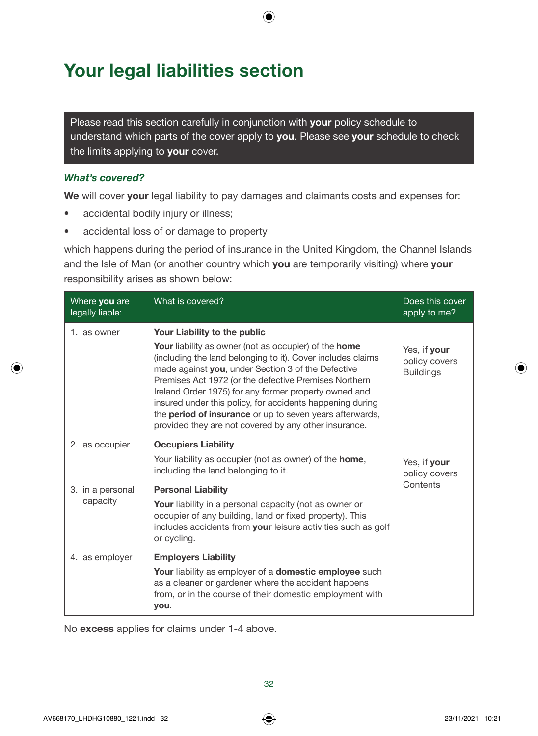### <span id="page-31-0"></span>Your legal liabilities section

Please read this section carefully in conjunction with your policy schedule to understand which parts of the cover apply to you. Please see your schedule to check the limits applying to your cover.

#### What's covered?

We will cover your legal liability to pay damages and claimants costs and expenses for:

- accidental bodily injury or illness;
- accidental loss of or damage to property

which happens during the period of insurance in the United Kingdom, the Channel Islands and the Isle of Man (or another country which you are temporarily visiting) where your responsibility arises as shown below:

| Where you are<br>legally liable: | What is covered?                                                                                                                                                                                                                                                                                                                                                                                                                                                                                                             | Does this cover<br>apply to me?                   |
|----------------------------------|------------------------------------------------------------------------------------------------------------------------------------------------------------------------------------------------------------------------------------------------------------------------------------------------------------------------------------------------------------------------------------------------------------------------------------------------------------------------------------------------------------------------------|---------------------------------------------------|
| 1. as owner                      | Your Liability to the public<br><b>Your</b> liability as owner (not as occupier) of the <b>home</b><br>(including the land belonging to it). Cover includes claims<br>made against you, under Section 3 of the Defective<br>Premises Act 1972 (or the defective Premises Northern<br>Ireland Order 1975) for any former property owned and<br>insured under this policy, for accidents happening during<br>the period of insurance or up to seven years afterwards,<br>provided they are not covered by any other insurance. | Yes, if your<br>policy covers<br><b>Buildings</b> |
| 2. as occupier                   | <b>Occupiers Liability</b><br>Your liability as occupier (not as owner) of the home,<br>including the land belonging to it.                                                                                                                                                                                                                                                                                                                                                                                                  | Yes, if your<br>policy covers                     |
| 3. in a personal<br>capacity     | <b>Personal Liability</b><br>Your liability in a personal capacity (not as owner or<br>occupier of any building, land or fixed property). This<br>includes accidents from your leisure activities such as golf<br>or cycling.                                                                                                                                                                                                                                                                                                | Contents                                          |
| 4. as employer                   | <b>Employers Liability</b><br><b>Your</b> liability as employer of a <b>domestic employee</b> such<br>as a cleaner or gardener where the accident happens<br>from, or in the course of their domestic employment with<br>you.                                                                                                                                                                                                                                                                                                |                                                   |

No excess applies for claims under 1-4 above.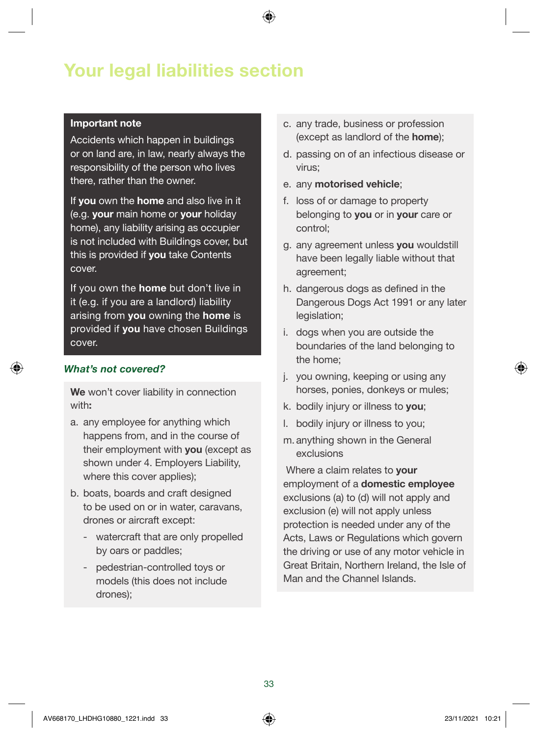### Your legal liabilities section

#### Important note

Accidents which happen in buildings or on land are, in law, nearly always the responsibility of the person who lives there, rather than the owner.

If you own the home and also live in it (e.g. your main home or your holiday home), any liability arising as occupier is not included with Buildings cover, but this is provided if you take Contents cover.

If you own the **home** but don't live in it (e.g. if you are a landlord) liability arising from you owning the home is provided if you have chosen Buildings cover.

#### What's not covered?

We won't cover liability in connection with:

- a. any employee for anything which happens from, and in the course of their employment with you (except as shown under 4. Employers Liability, where this cover applies);
- b. boats, boards and craft designed to be used on or in water, caravans, drones or aircraft except:
	- watercraft that are only propelled by oars or paddles;
	- pedestrian-controlled toys or models (this does not include drones);
- c. any trade, business or profession (except as landlord of the home);
- d. passing on of an infectious disease or virus;
- e. any motorised vehicle;
- f. loss of or damage to property belonging to you or in your care or control;
- g. any agreement unless you wouldstill have been legally liable without that agreement;
- h. dangerous dogs as defined in the Dangerous Dogs Act 1991 or any later legislation;
- i. dogs when you are outside the boundaries of the land belonging to the home;
- j. you owning, keeping or using any horses, ponies, donkeys or mules;
- k. bodily injury or illness to you;
- l. bodily injury or illness to you;
- m. anything shown in the General exclusions

Where a claim relates to your employment of a domestic employee exclusions (a) to (d) will not apply and exclusion (e) will not apply unless protection is needed under any of the Acts, Laws or Regulations which govern the driving or use of any motor vehicle in Great Britain, Northern Ireland, the Isle of Man and the Channel Islands.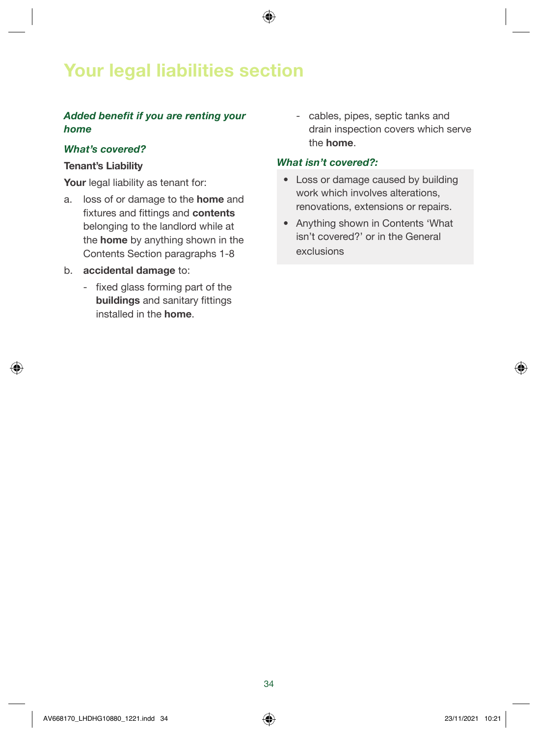### Your legal liabilities section

#### Added benefit if you are renting your *home*

#### What's covered?

#### Tenant's Liability

Your legal liability as tenant for:

- a. loss of or damage to the home and fixtures and fittings and contents belonging to the landlord while at the home by anything shown in the Contents Section paragraphs 1-8
- b. accidental damage to:
	- fixed glass forming part of the buildings and sanitary fittings installed in the home.

 - cables, pipes, septic tanks and drain inspection covers which serve the home.

#### What isn't covered?:

- Loss or damage caused by building work which involves alterations, renovations, extensions or repairs.
- Anything shown in Contents 'What isn't covered?' or in the General exclusions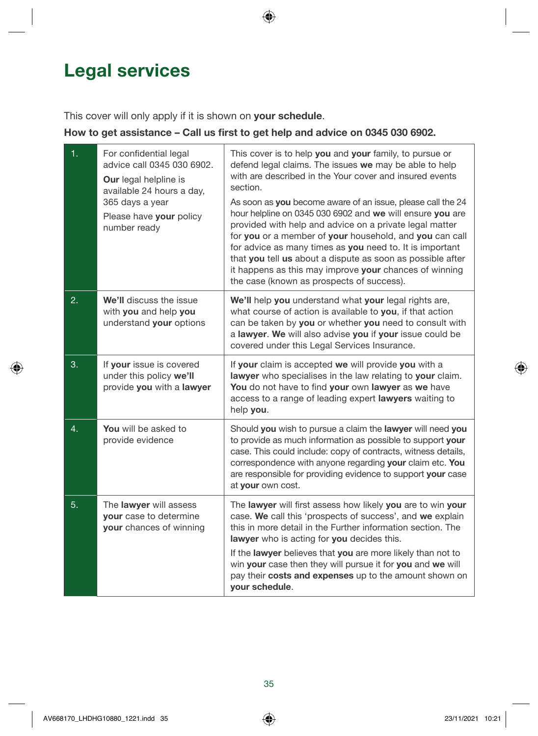### <span id="page-34-0"></span>Legal services

This cover will only apply if it is shown on your schedule.

#### How to get assistance – Call us first to get help and advice on 0345 030 6902.

| 1. | For confidential legal<br>advice call 0345 030 6902.<br><b>Our</b> legal helpline is<br>available 24 hours a day,<br>365 days a year<br>Please have your policy<br>number ready | This cover is to help you and your family, to pursue or<br>defend legal claims. The issues we may be able to help<br>with are described in the Your cover and insured events<br>section.<br>As soon as you become aware of an issue, please call the 24<br>hour helpline on 0345 030 6902 and we will ensure you are<br>provided with help and advice on a private legal matter<br>for you or a member of your household, and you can call<br>for advice as many times as you need to. It is important<br>that you tell us about a dispute as soon as possible after<br>it happens as this may improve your chances of winning<br>the case (known as prospects of success). |
|----|---------------------------------------------------------------------------------------------------------------------------------------------------------------------------------|-----------------------------------------------------------------------------------------------------------------------------------------------------------------------------------------------------------------------------------------------------------------------------------------------------------------------------------------------------------------------------------------------------------------------------------------------------------------------------------------------------------------------------------------------------------------------------------------------------------------------------------------------------------------------------|
| 2. | We'll discuss the issue<br>with you and help you<br>understand your options                                                                                                     | We'll help you understand what your legal rights are,<br>what course of action is available to you, if that action<br>can be taken by you or whether you need to consult with<br>a lawyer. We will also advise you if your issue could be<br>covered under this Legal Services Insurance.                                                                                                                                                                                                                                                                                                                                                                                   |
| 3. | If your issue is covered<br>under this policy we'll<br>provide you with a lawyer                                                                                                | If your claim is accepted we will provide you with a<br>lawyer who specialises in the law relating to your claim.<br>You do not have to find your own lawyer as we have<br>access to a range of leading expert lawyers waiting to<br>help you.                                                                                                                                                                                                                                                                                                                                                                                                                              |
| 4. | You will be asked to<br>provide evidence                                                                                                                                        | Should you wish to pursue a claim the lawyer will need you<br>to provide as much information as possible to support your<br>case. This could include: copy of contracts, witness details,<br>correspondence with anyone regarding your claim etc. You<br>are responsible for providing evidence to support your case<br>at your own cost.                                                                                                                                                                                                                                                                                                                                   |
| 5. | The lawyer will assess<br>your case to determine<br>your chances of winning                                                                                                     | The lawyer will first assess how likely you are to win your<br>case. We call this 'prospects of success', and we explain<br>this in more detail in the Further information section. The<br>lawyer who is acting for you decides this.<br>If the lawyer believes that you are more likely than not to<br>win your case then they will pursue it for you and we will<br>pay their costs and expenses up to the amount shown on<br>your schedule.                                                                                                                                                                                                                              |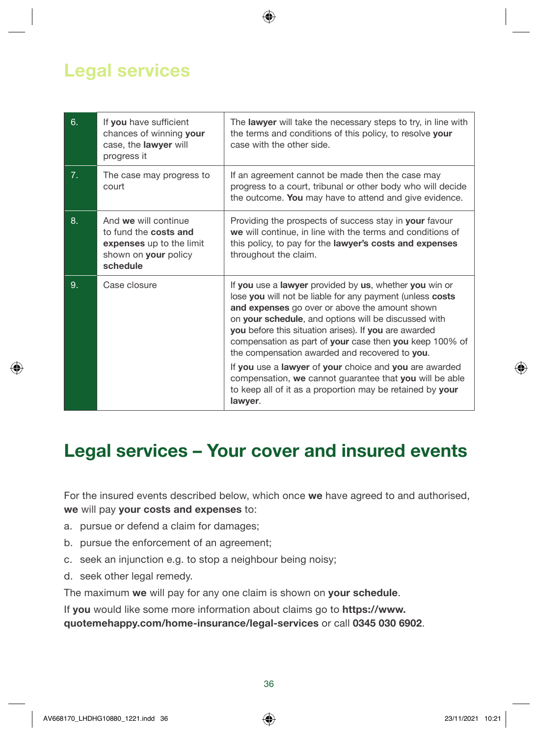### Legal services

| 6.             | If you have sufficient<br>chances of winning your<br>case, the lawyer will<br>progress it                            | The lawyer will take the necessary steps to try, in line with<br>the terms and conditions of this policy, to resolve your<br>case with the other side.                                                                                                                                                                                                                                                                                                                                                                                                                                           |
|----------------|----------------------------------------------------------------------------------------------------------------------|--------------------------------------------------------------------------------------------------------------------------------------------------------------------------------------------------------------------------------------------------------------------------------------------------------------------------------------------------------------------------------------------------------------------------------------------------------------------------------------------------------------------------------------------------------------------------------------------------|
| 7 <sub>1</sub> | The case may progress to<br>court                                                                                    | If an agreement cannot be made then the case may<br>progress to a court, tribunal or other body who will decide<br>the outcome. You may have to attend and give evidence.                                                                                                                                                                                                                                                                                                                                                                                                                        |
| 8.             | And we will continue<br>to fund the costs and<br>expenses up to the limit<br>shown on <b>your</b> policy<br>schedule | Providing the prospects of success stay in your favour<br>we will continue, in line with the terms and conditions of<br>this policy, to pay for the <b>lawyer's costs and expenses</b><br>throughout the claim.                                                                                                                                                                                                                                                                                                                                                                                  |
| 9.             | Case closure                                                                                                         | If you use a lawyer provided by us, whether you win or<br>lose you will not be liable for any payment (unless costs<br>and expenses go over or above the amount shown<br>on your schedule, and options will be discussed with<br>you before this situation arises). If you are awarded<br>compensation as part of your case then you keep 100% of<br>the compensation awarded and recovered to you.<br>If you use a lawyer of your choice and you are awarded<br>compensation, we cannot guarantee that you will be able<br>to keep all of it as a proportion may be retained by your<br>lawyer. |

### Legal services – Your cover and insured events

For the insured events described below, which once we have agreed to and authorised, we will pay your costs and expenses to:

- a. pursue or defend a claim for damages;
- b. pursue the enforcement of an agreement;
- c. seek an injunction e.g. to stop a neighbour being noisy;
- d. seek other legal remedy.

The maximum we will pay for any one claim is shown on your schedule.

If you would like some more information about claims go to [https://www.](https://www.quotemehappy.com/home-insurance/legal-services)

[quotemehappy.com/home-insurance/legal-services](https://www.quotemehappy.com/home-insurance/legal-services) or call 0345 030 6902.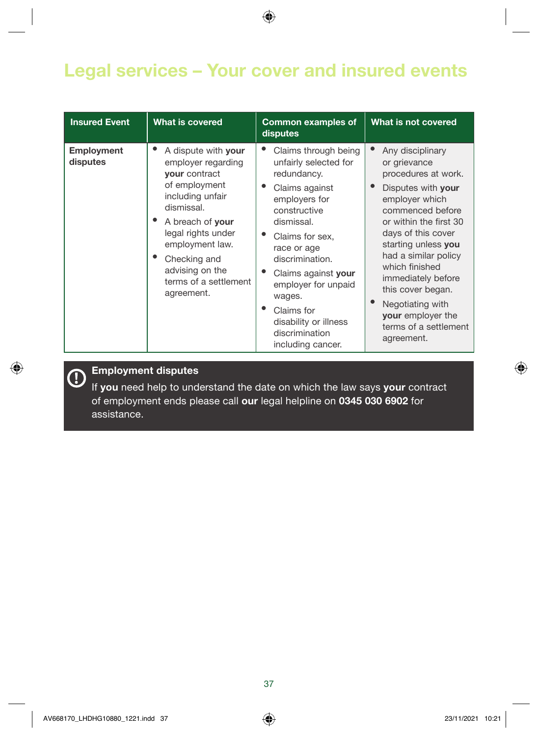### Legal services – Your cover and insured events

| <b>Insured Event</b>   | What is covered                                                                                                                                                                                                                                             | <b>Common examples of</b><br>disputes                                                                                                                                                                                                                                                                                    | What is not covered                                                                                                                                                                                                                                                                                                                                             |
|------------------------|-------------------------------------------------------------------------------------------------------------------------------------------------------------------------------------------------------------------------------------------------------------|--------------------------------------------------------------------------------------------------------------------------------------------------------------------------------------------------------------------------------------------------------------------------------------------------------------------------|-----------------------------------------------------------------------------------------------------------------------------------------------------------------------------------------------------------------------------------------------------------------------------------------------------------------------------------------------------------------|
| Employment<br>disputes | A dispute with your<br>employer regarding<br><b>your</b> contract<br>of employment<br>including unfair<br>dismissal.<br>A breach of your<br>legal rights under<br>employment law.<br>Checking and<br>advising on the<br>terms of a settlement<br>agreement. | Claims through being<br>unfairly selected for<br>redundancy.<br>Claims against<br>employers for<br>constructive<br>dismissal.<br>Claims for sex,<br>race or age<br>discrimination.<br>Claims against your<br>employer for unpaid<br>wages.<br>Claims for<br>disability or illness<br>discrimination<br>including cancer. | Any disciplinary<br>or grievance<br>procedures at work.<br>Disputes with your<br>employer which<br>commenced before<br>or within the first 30<br>days of this cover<br>starting unless you<br>had a similar policy<br>which finished<br>immediately before<br>this cover began.<br>Negotiating with<br>your employer the<br>terms of a settlement<br>agreement. |

## Employment disputes

If you need help to understand the date on which the law says your contract of employment ends please call our legal helpline on 0345 030 6902 for assistance.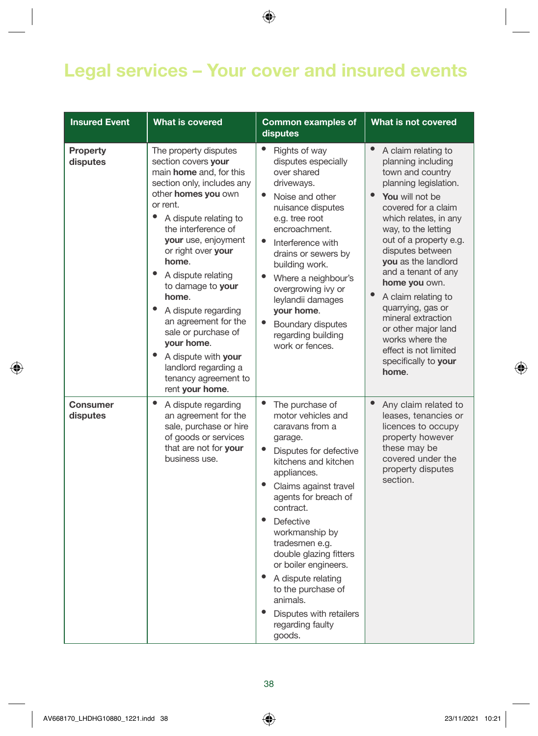### Legal services – Your cover and insured events

| <b>Insured Event</b>        | <b>What is covered</b>                                                                                                                                                                                                                                                                                                                                                                                                                                                                                           | <b>Common examples of</b><br>disputes                                                                                                                                                                                                                                                                                                                                                                                                                                                   | What is not covered                                                                                                                                                                                                                                                                                                                                                                                                                                                                                        |
|-----------------------------|------------------------------------------------------------------------------------------------------------------------------------------------------------------------------------------------------------------------------------------------------------------------------------------------------------------------------------------------------------------------------------------------------------------------------------------------------------------------------------------------------------------|-----------------------------------------------------------------------------------------------------------------------------------------------------------------------------------------------------------------------------------------------------------------------------------------------------------------------------------------------------------------------------------------------------------------------------------------------------------------------------------------|------------------------------------------------------------------------------------------------------------------------------------------------------------------------------------------------------------------------------------------------------------------------------------------------------------------------------------------------------------------------------------------------------------------------------------------------------------------------------------------------------------|
| <b>Property</b><br>disputes | The property disputes<br>section covers your<br>main <b>home</b> and, for this<br>section only, includes any<br>other <b>homes</b> you own<br>or rent.<br>$\bullet$<br>A dispute relating to<br>the interference of<br>your use, enjoyment<br>or right over your<br>home.<br>A dispute relating<br>to damage to your<br>home.<br>A dispute regarding<br>an agreement for the<br>sale or purchase of<br>your home.<br>٠<br>A dispute with your<br>landlord regarding a<br>tenancy agreement to<br>rent your home. | ٠<br>Rights of way<br>disputes especially<br>over shared<br>driveways.<br>$\bullet$<br>Noise and other<br>nuisance disputes<br>e.g. tree root<br>encroachment.<br>$\bullet$<br>Interference with<br>drains or sewers by<br>building work.<br>$\bullet$<br>Where a neighbour's<br>overgrowing ivy or<br>leylandii damages<br>your home.<br>$\bullet$<br>Boundary disputes<br>regarding building<br>work or fences.                                                                       | $\bullet$<br>A claim relating to<br>planning including<br>town and country<br>planning legislation.<br>$\bullet$<br>You will not be<br>covered for a claim<br>which relates, in any<br>way, to the letting<br>out of a property e.g.<br>disputes between<br>you as the landlord<br>and a tenant of any<br>home you own.<br>$\bullet$<br>A claim relating to<br>quarrying, gas or<br>mineral extraction<br>or other major land<br>works where the<br>effect is not limited<br>specifically to your<br>home. |
| <b>Consumer</b><br>disputes | $\bullet$<br>A dispute regarding<br>an agreement for the<br>sale, purchase or hire<br>of goods or services<br>that are not for your<br>business use.                                                                                                                                                                                                                                                                                                                                                             | $\bullet$<br>The purchase of<br>motor vehicles and<br>caravans from a<br>garage.<br>$\bullet$<br>Disputes for defective<br>kitchens and kitchen<br>appliances.<br>$\bullet$<br>Claims against travel<br>agents for breach of<br>contract.<br>$\bullet$<br>Defective<br>workmanship by<br>tradesmen e.g.<br>double glazing fitters<br>or boiler engineers.<br>A dispute relating<br>to the purchase of<br>animals.<br>$\bullet$<br>Disputes with retailers<br>regarding faulty<br>goods. | $\bullet$<br>Any claim related to<br>leases, tenancies or<br>licences to occupy<br>property however<br>these may be<br>covered under the<br>property disputes<br>section.                                                                                                                                                                                                                                                                                                                                  |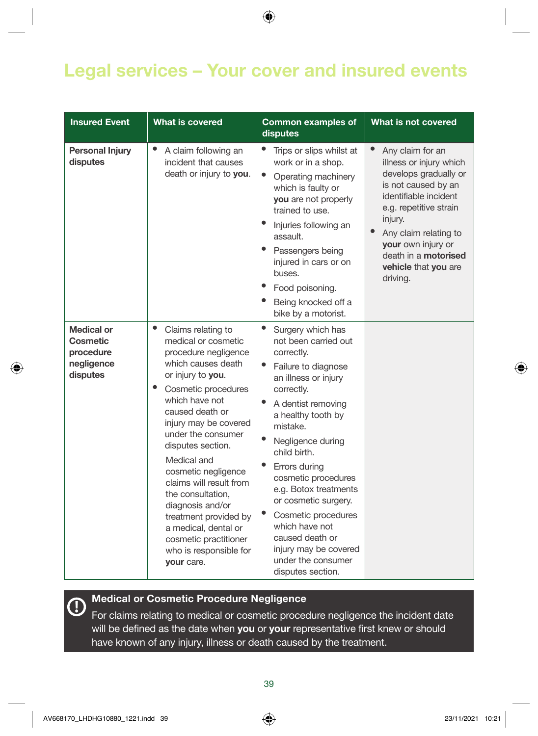### Legal services – Your cover and insured events

| <b>Insured Event</b>                                                 | <b>What is covered</b>                                                                                                                                                                                                                                                                                                                                                                                                                                                                     | <b>Common examples of</b><br>disputes                                                                                                                                                                                                                                                                                                                                                                                                                                                                                    | What is not covered                                                                                                                                                                                                                                                               |
|----------------------------------------------------------------------|--------------------------------------------------------------------------------------------------------------------------------------------------------------------------------------------------------------------------------------------------------------------------------------------------------------------------------------------------------------------------------------------------------------------------------------------------------------------------------------------|--------------------------------------------------------------------------------------------------------------------------------------------------------------------------------------------------------------------------------------------------------------------------------------------------------------------------------------------------------------------------------------------------------------------------------------------------------------------------------------------------------------------------|-----------------------------------------------------------------------------------------------------------------------------------------------------------------------------------------------------------------------------------------------------------------------------------|
| <b>Personal Injury</b><br>disputes                                   | A claim following an<br>incident that causes<br>death or injury to you.                                                                                                                                                                                                                                                                                                                                                                                                                    | Trips or slips whilst at<br>work or in a shop.<br>$\bullet$<br>Operating machinery<br>which is faulty or<br>you are not properly<br>trained to use.<br>Injuries following an<br>assault.<br>Passengers being<br>injured in cars or on<br>buses.<br>Food poisoning.<br>Being knocked off a<br>bike by a motorist.                                                                                                                                                                                                         | Any claim for an<br>illness or injury which<br>develops gradually or<br>is not caused by an<br>identifiable incident<br>e.g. repetitive strain<br>injury.<br>$\bullet$<br>Any claim relating to<br>your own injury or<br>death in a motorised<br>vehicle that you are<br>driving. |
| <b>Medical or</b><br>Cosmetic<br>procedure<br>negligence<br>disputes | $\bullet$<br>Claims relating to<br>medical or cosmetic<br>procedure negligence<br>which causes death<br>or injury to you.<br>٠<br>Cosmetic procedures<br>which have not<br>caused death or<br>injury may be covered<br>under the consumer<br>disputes section.<br>Medical and<br>cosmetic negligence<br>claims will result from<br>the consultation.<br>diagnosis and/or<br>treatment provided by<br>a medical, dental or<br>cosmetic practitioner<br>who is responsible for<br>your care. | $\bullet$<br>Surgery which has<br>not been carried out<br>correctly.<br>$\bullet$<br>Failure to diagnose<br>an illness or injury<br>correctly.<br>$\bullet$<br>A dentist removing<br>a healthy tooth by<br>mistake.<br>$\bullet$<br>Negligence during<br>child birth.<br>$\bullet$<br>Errors durina<br>cosmetic procedures<br>e.g. Botox treatments<br>or cosmetic surgery.<br>$\bullet$<br>Cosmetic procedures<br>which have not<br>caused death or<br>injury may be covered<br>under the consumer<br>disputes section. |                                                                                                                                                                                                                                                                                   |

# **Medical or Cosmetic Procedure Negligence**

For claims relating to medical or cosmetic procedure negligence the incident date will be defined as the date when you or your representative first knew or should have known of any injury, illness or death caused by the treatment.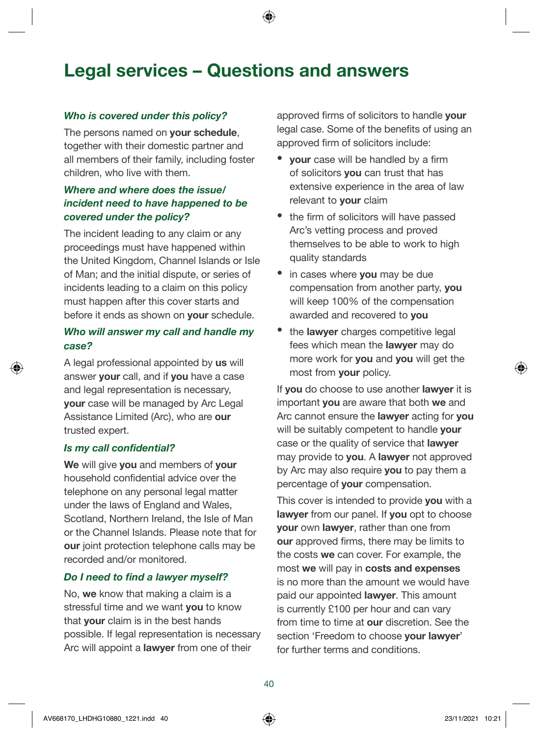### Legal services – Questions and answers

#### Who is covered under this policy?

The persons named on your schedule. together with their domestic partner and all members of their family, including foster children, who live with them.

#### Where and where does the issue/ incident need to have happened to be covered under the policy?

The incident leading to any claim or any proceedings must have happened within the United Kingdom, Channel Islands or Isle of Man; and the initial dispute, or series of incidents leading to a claim on this policy must happen after this cover starts and before it ends as shown on **your** schedule.

#### Who will answer my call and handle my case?

A legal professional appointed by us will answer your call, and if you have a case and legal representation is necessary, your case will be managed by Arc Legal Assistance Limited (Arc), who are our trusted expert.

#### Is my call confidential?

We will give you and members of your household confidential advice over the telephone on any personal legal matter under the laws of England and Wales, Scotland, Northern Ireland, the Isle of Man or the Channel Islands. Please note that for our joint protection telephone calls may be recorded and/or monitored.

#### Do I need to find a lawyer myself?

No, we know that making a claim is a stressful time and we want you to know that your claim is in the best hands possible. If legal representation is necessary Arc will appoint a lawyer from one of their

approved firms of solicitors to handle **your** legal case. Some of the benefits of using an approved firm of solicitors include:

- your case will be handled by a firm of solicitors you can trust that has extensive experience in the area of law relevant to **vour** claim
- the firm of solicitors will have passed Arc's vetting process and proved themselves to be able to work to high quality standards
- in cases where you may be due compensation from another party, you will keep 100% of the compensation awarded and recovered to you
- the **lawyer** charges competitive legal fees which mean the lawyer may do more work for you and you will get the most from your policy.

If you do choose to use another **lawyer** it is important **you** are aware that both we and Arc cannot ensure the **lawver** acting for **you** will be suitably competent to handle your case or the quality of service that **lawyer** may provide to you. A lawyer not approved by Arc may also require you to pay them a percentage of your compensation.

This cover is intended to provide you with a lawyer from our panel. If you opt to choose your own lawyer, rather than one from our approved firms, there may be limits to the costs we can cover. For example, the most we will pay in costs and expenses is no more than the amount we would have paid our appointed **lawyer**. This amount is currently £100 per hour and can vary from time to time at our discretion. See the section 'Freedom to choose your lawyer' for further terms and conditions.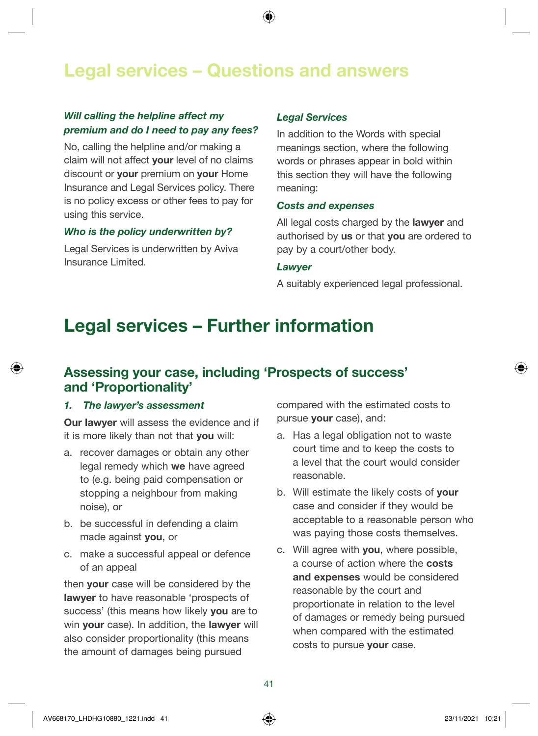### Legal services – Questions and answers

#### Will calling the helpline affect my premium and do I need to pay any fees?

No, calling the helpline and/or making a claim will not affect your level of no claims discount or **your** premium on **your** Home Insurance and Legal Services policy. There is no policy excess or other fees to pay for using this service.

#### Who is the policy underwritten by?

Legal Services is underwritten by Aviva Insurance Limited.

#### Legal Services

In addition to the Words with special meanings section, where the following words or phrases appear in bold within this section they will have the following meaning:

#### Costs and expenses

All legal costs charged by the lawyer and authorised by us or that you are ordered to pay by a court/other body.

#### **Lawyer**

A suitably experienced legal professional.

### Legal services – Further information

#### Assessing your case, including 'Prospects of success' and 'Proportionality'

#### 1. The lawyer's assessment

Our lawyer will assess the evidence and if it is more likely than not that you will:

- a. recover damages or obtain any other legal remedy which we have agreed to (e.g. being paid compensation or stopping a neighbour from making noise), or
- b. be successful in defending a claim made against you, or
- c. make a successful appeal or defence of an appeal

then your case will be considered by the lawyer to have reasonable 'prospects of success' (this means how likely you are to win your case). In addition, the lawyer will also consider proportionality (this means the amount of damages being pursued

compared with the estimated costs to pursue your case), and:

- a. Has a legal obligation not to waste court time and to keep the costs to a level that the court would consider reasonable.
- b. Will estimate the likely costs of your case and consider if they would be acceptable to a reasonable person who was paying those costs themselves.
- c. Will agree with you, where possible, a course of action where the costs and expenses would be considered reasonable by the court and proportionate in relation to the level of damages or remedy being pursued when compared with the estimated costs to pursue your case.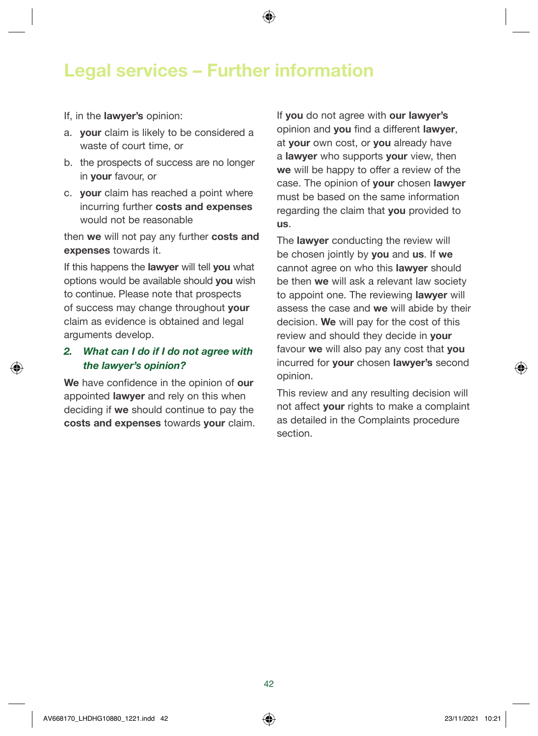### Legal services – Further information

If, in the lawyer's opinion:

- a. your claim is likely to be considered a waste of court time, or
- b. the prospects of success are no longer in your favour, or
- c. your claim has reached a point where incurring further costs and expenses would not be reasonable

then we will not pay any further costs and expenses towards it.

If this happens the **lawyer** will tell you what options would be available should you wish to continue. Please note that prospects of success may change throughout your claim as evidence is obtained and legal arguments develop.

#### *2. What can I do if I do not agree with*  the lawyer's opinion?

We have confidence in the opinion of our appointed **lawyer** and rely on this when deciding if we should continue to pay the costs and expenses towards your claim. If you do not agree with our lawyer's opinion and you find a different lawyer, at vour own cost, or vou already have a **lawyer** who supports **your** view, then we will be happy to offer a review of the case. The opinion of your chosen lawyer must be based on the same information regarding the claim that you provided to us.

The **lawyer** conducting the review will be chosen jointly by you and us. If we cannot agree on who this **lawyer** should be then we will ask a relevant law society to appoint one. The reviewing **lawyer** will assess the case and we will abide by their decision. We will pay for the cost of this review and should they decide in your favour we will also pay any cost that you incurred for **your** chosen lawyer's second opinion.

This review and any resulting decision will not affect your rights to make a complaint as detailed in the Complaints procedure section.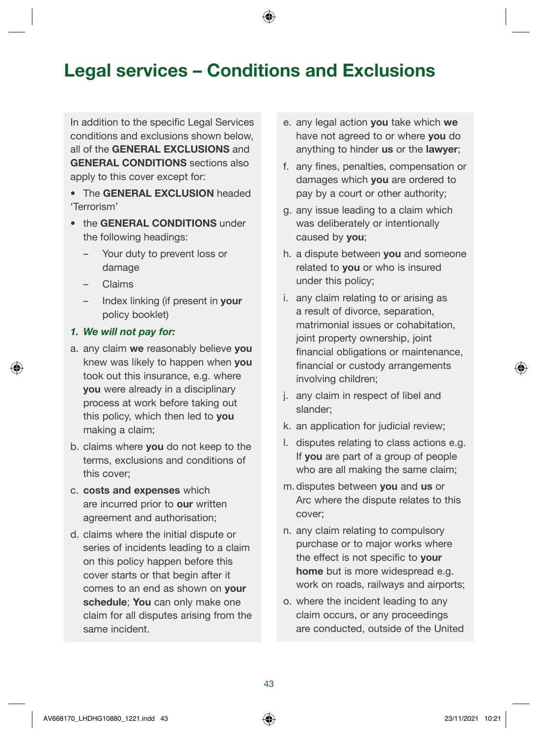### Legal services – Conditions and Exclusions

In addition to the specific Legal Services conditions and exclusions shown below, all of the GENERAL EXCLUSIONS and GENERAL CONDITIONS sections also apply to this cover except for:

• The GENERAL EXCLUSION headed 'Terrorism'

- the GENERAL CONDITIONS under the following headings:
	- Your duty to prevent loss or damage
	- Claims
	- Index linking (if present in your policy booklet)

#### 1. We will not pay for:

- a. any claim we reasonably believe you knew was likely to happen when you took out this insurance, e.g. where you were already in a disciplinary process at work before taking out this policy, which then led to you making a claim;
- b. claims where you do not keep to the terms, exclusions and conditions of this cover;
- c. costs and expenses which are incurred prior to our written agreement and authorisation;
- d. claims where the initial dispute or series of incidents leading to a claim on this policy happen before this cover starts or that begin after it comes to an end as shown on your schedule; You can only make one claim for all disputes arising from the same incident.
- e. any legal action you take which we have not agreed to or where **you** do anything to hinder us or the lawyer;
- f. any fines, penalties, compensation or damages which you are ordered to pay by a court or other authority;
- g. any issue leading to a claim which was deliberately or intentionally caused by you;
- h. a dispute between you and someone related to you or who is insured under this policy;
- i. any claim relating to or arising as a result of divorce, separation, matrimonial issues or cohabitation, joint property ownership, joint financial obligations or maintenance, financial or custody arrangements involving children;
- j. any claim in respect of libel and slander;
- k. an application for judicial review;
- l. disputes relating to class actions e.g. If you are part of a group of people who are all making the same claim;
- m. disputes between you and us or Arc where the dispute relates to this cover;
- n. any claim relating to compulsory purchase or to major works where the effect is not specific to your home but is more widespread e.g. work on roads, railways and airports;
- o. where the incident leading to any claim occurs, or any proceedings are conducted, outside of the United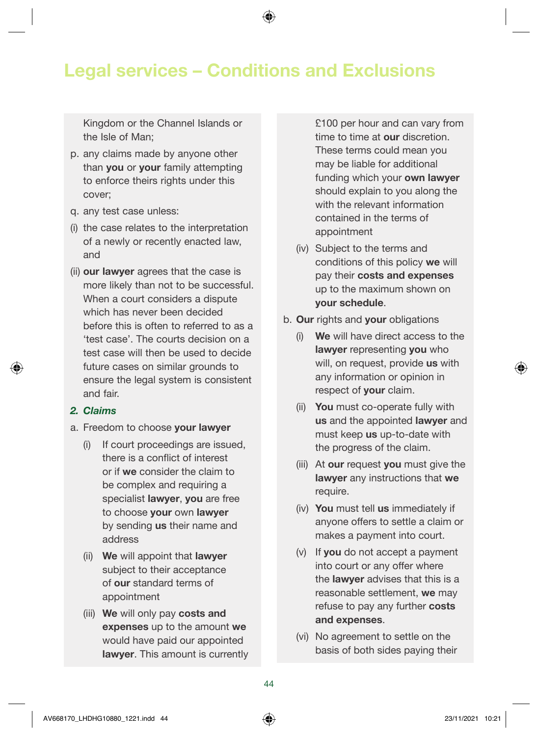### Legal services – Conditions and Exclusions

Kingdom or the Channel Islands or the Isle of Man;

- p. any claims made by anyone other than **you** or **your** family attempting to enforce theirs rights under this cover;
- q. any test case unless:
- (i) the case relates to the interpretation of a newly or recently enacted law, and
- (ii) our lawyer agrees that the case is more likely than not to be successful. When a court considers a dispute which has never been decided before this is often to referred to as a 'test case'. The courts decision on a test case will then be used to decide future cases on similar grounds to ensure the legal system is consistent and fair.

#### 2. Claims

- a. Freedom to choose your lawyer
	- (i) If court proceedings are issued, there is a conflict of interest or if we consider the claim to be complex and requiring a specialist lawyer, you are free to choose your own lawyer by sending us their name and address
	- (ii) We will appoint that lawyer subject to their acceptance of our standard terms of appointment
	- (iii) We will only pay costs and expenses up to the amount we would have paid our appointed lawyer. This amount is currently

£100 per hour and can vary from time to time at our discretion. These terms could mean you may be liable for additional funding which your own lawyer should explain to you along the with the relevant information contained in the terms of appointment

- (iv) Subject to the terms and conditions of this policy we will pay their costs and expenses up to the maximum shown on your schedule.
- b. Our rights and your obligations
	- (i) We will have direct access to the lawyer representing you who will, on request, provide us with any information or opinion in respect of **your** claim.
	- (ii) You must co-operate fully with us and the appointed lawyer and must keep us up-to-date with the progress of the claim.
	- (iii) At our request you must give the lawyer any instructions that we require.
	- (iv) You must tell us immediately if anyone offers to settle a claim or makes a payment into court.
	- (v) If you do not accept a payment into court or any offer where the lawyer advises that this is a reasonable settlement, we may refuse to pay any further costs and expenses.
	- (vi) No agreement to settle on the basis of both sides paying their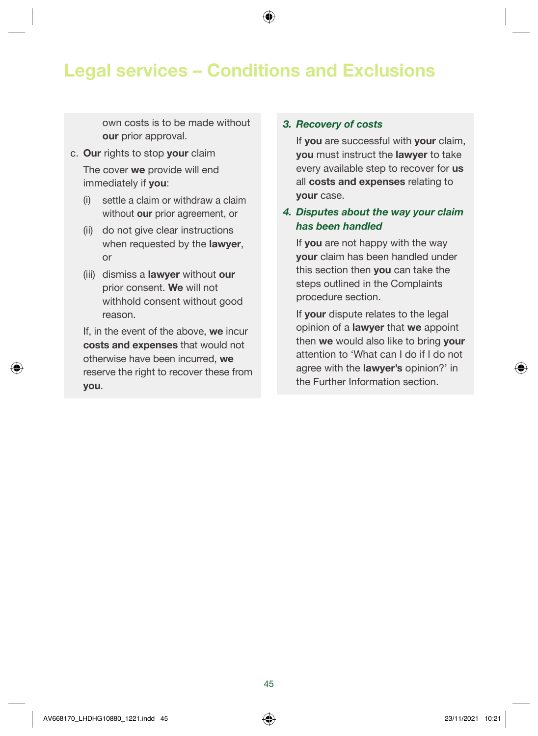### Legal services – Conditions and Exclusions

own costs is to be made without our prior approval.

- c. Our rights to stop your claim The cover we provide will end immediately if you:
	- (i) settle a claim or withdraw a claim without our prior agreement, or
	- (ii) do not give clear instructions when requested by the lawyer, or
	- (iii) dismiss a **lawyer** without our prior consent. We will not withhold consent without good reason.

If, in the event of the above, we incur costs and expenses that would not otherwise have been incurred, we reserve the right to recover these from you.

#### 3. Recovery of costs

If you are successful with your claim, you must instruct the lawyer to take every available step to recover for us all costs and expenses relating to your case.

#### 4. Disputes about the way your claim has been handled

If you are not happy with the way your claim has been handled under this section then you can take the steps outlined in the Complaints procedure section.

If your dispute relates to the legal opinion of a lawyer that we appoint then we would also like to bring your attention to 'What can I do if I do not agree with the lawyer's opinion?' in the Further Information section.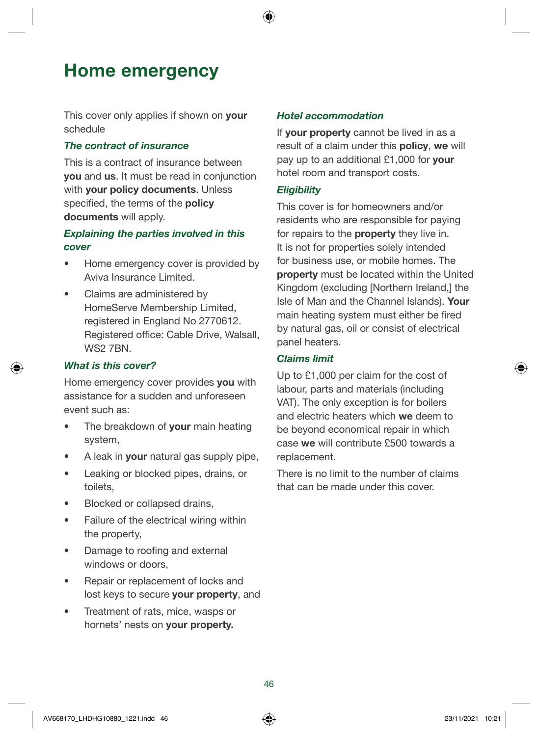### <span id="page-45-0"></span>Home emergency

This cover only applies if shown on **your** schedule

#### The contract of insurance

This is a contract of insurance between you and us. It must be read in conjunction with your policy documents. Unless specified, the terms of the policy documents will apply.

#### Explaining the parties involved in this cover

- Home emergency cover is provided by Aviva Insurance Limited.
- Claims are administered by HomeServe Membership Limited, registered in England No 2770612. Registered office: Cable Drive, Walsall, WS2 7BN

#### What is this cover?

Home emergency cover provides you with assistance for a sudden and unforeseen event such as:

- The breakdown of your main heating system,
- A leak in **your** natural gas supply pipe,
- Leaking or blocked pipes, drains, or toilets,
- Blocked or collapsed drains,
- Failure of the electrical wiring within the property,
- Damage to roofing and external windows or doors,
- Repair or replacement of locks and lost keys to secure your property, and
- Treatment of rats, mice, wasps or hornets' nests on your property.

#### Hotel accommodation

If your property cannot be lived in as a result of a claim under this **policy**, we will pay up to an additional £1,000 for your hotel room and transport costs.

#### **Eligibility**

This cover is for homeowners and/or residents who are responsible for paying for repairs to the **property** they live in. It is not for properties solely intended for business use, or mobile homes. The property must be located within the United Kingdom (excluding [Northern Ireland,] the Isle of Man and the Channel Islands). Your main heating system must either be fired by natural gas, oil or consist of electrical panel heaters.

#### Claims limit

Up to £1,000 per claim for the cost of labour, parts and materials (including VAT). The only exception is for boilers and electric heaters which we deem to be beyond economical repair in which case we will contribute £500 towards a replacement.

There is no limit to the number of claims that can be made under this cover.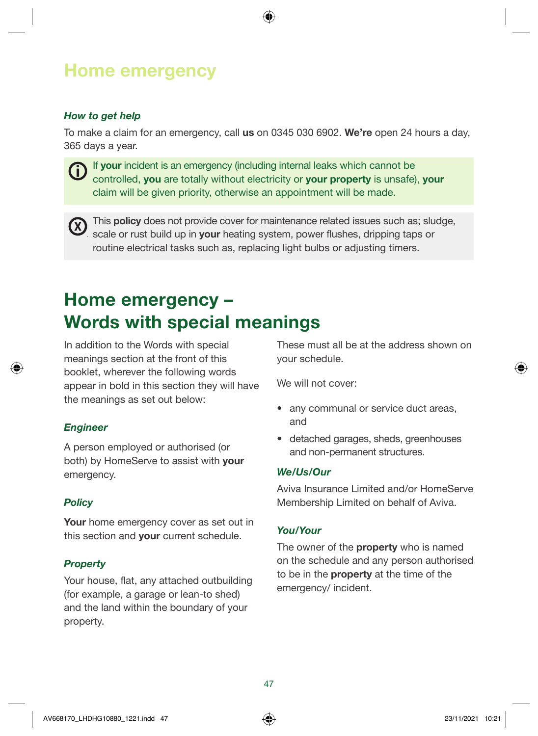### Home emergency

#### How to get help

To make a claim for an emergency, call us on 0345 030 6902. We're open 24 hours a day, 365 days a year.



If your incident is an emergency (including internal leaks which cannot be controlled, you are totally without electricity or your property is unsafe), your claim will be given priority, otherwise an appointment will be made.



 $\Omega$  This policy does not provide cover for maintenance related issues such as; sludge, scale or rust build up in your heating system, power flushes, dripping taps or routine electrical tasks such as, replacing light bulbs or adjusting timers.

### Home emergency – Words with special meanings

In addition to the Words with special meanings section at the front of this booklet, wherever the following words appear in bold in this section they will have the meanings as set out below:

#### *Engineer*

A person employed or authorised (or both) by HomeServe to assist with your emergency.

#### **Policy**

Your home emergency cover as set out in this section and your current schedule.

#### **Property**

Your house, flat, any attached outbuilding (for example, a garage or lean-to shed) and the land within the boundary of your property.

These must all be at the address shown on your schedule.

We will not cover:

- any communal or service duct areas, and
- detached garages, sheds, greenhouses and non-permanent structures.

#### We/Us/Our

Aviva Insurance Limited and/or HomeServe Membership Limited on behalf of Aviva.

#### You/Your

The owner of the **property** who is named on the schedule and any person authorised to be in the **property** at the time of the emergency/ incident.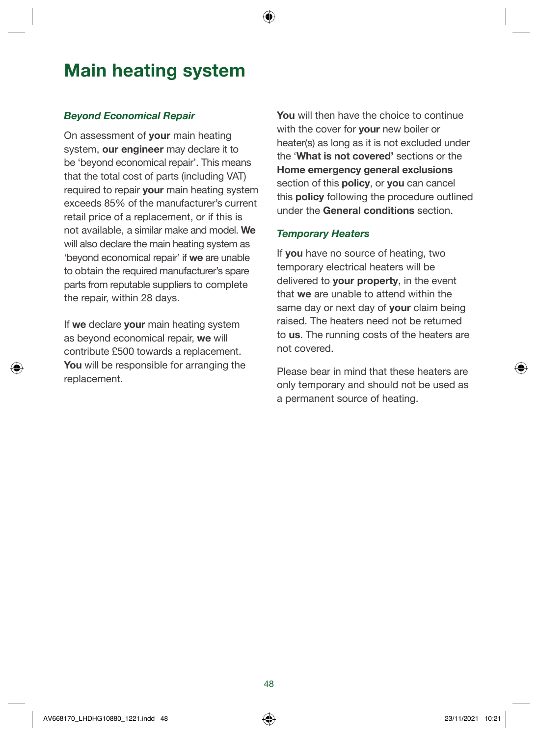### Main heating system

#### Beyond Economical Repair

On assessment of your main heating system, our engineer may declare it to be 'beyond economical repair'. This means that the total cost of parts (including VAT) required to repair your main heating system exceeds 85% of the manufacturer's current retail price of a replacement, or if this is not available, a similar make and model. We will also declare the main heating system as 'beyond economical repair' if we are unable to obtain the required manufacturer's spare parts from reputable suppliers to complete the repair, within 28 days.

If we declare your main heating system as beyond economical repair, we will contribute £500 towards a replacement. You will be responsible for arranging the replacement.

You will then have the choice to continue with the cover for **your** new boiler or heater(s) as long as it is not excluded under the 'What is not covered' sections or the Home emergency general exclusions section of this **policy**, or **you** can cancel this **policy** following the procedure outlined under the General conditions section.

#### Temporary Heaters

If you have no source of heating, two temporary electrical heaters will be delivered to **your property**, in the event that we are unable to attend within the same day or next day of **your** claim being raised. The heaters need not be returned to us. The running costs of the heaters are not covered.

Please bear in mind that these heaters are only temporary and should not be used as a permanent source of heating.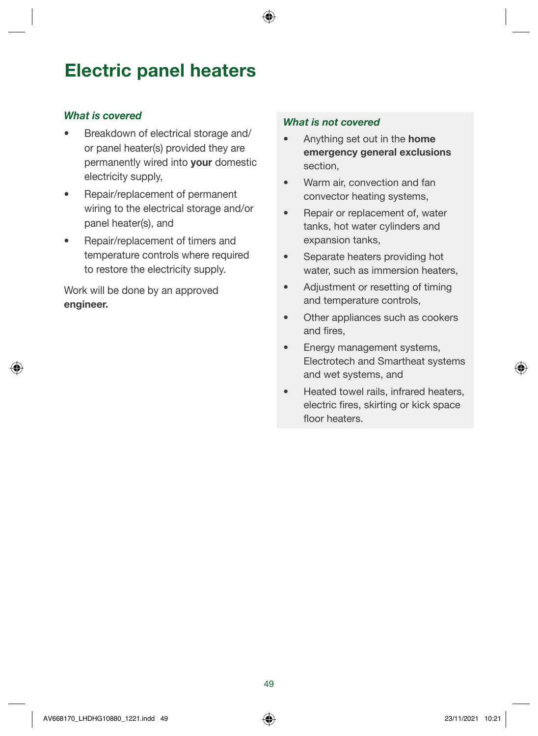### Electric panel heaters

#### What is covered

- Breakdown of electrical storage and/ or panel heater(s) provided they are permanently wired into your domestic electricity supply,
- Repair/replacement of permanent wiring to the electrical storage and/or panel heater(s), and
- Repair/replacement of timers and temperature controls where required to restore the electricity supply.

Work will be done by an approved engineer.

- Anything set out in the **home** emergency general exclusions section,
- Warm air, convection and fan convector heating systems,
- Repair or replacement of, water tanks, hot water cylinders and expansion tanks,
- Separate heaters providing hot water, such as immersion heaters,
- Adjustment or resetting of timing and temperature controls,
- Other appliances such as cookers and fires,
- Energy management systems, Electrotech and Smartheat systems and wet systems, and
- Heated towel rails, infrared heaters, electric fires, skirting or kick space floor heaters.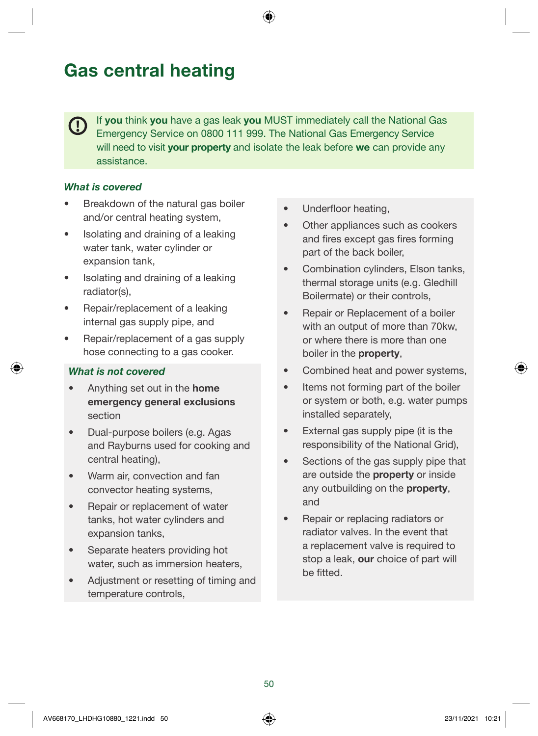### Gas central heating

If you think you have a gas leak you MUST immediately call the National Gas Emergency Service on 0800 111 999. The National Gas Emergency Service will need to visit your property and isolate the leak before we can provide any assistance.

#### What is covered

- Breakdown of the natural gas boiler and/or central heating system,
- Isolating and draining of a leaking water tank, water cylinder or expansion tank,
- Isolating and draining of a leaking radiator(s),
- Repair/replacement of a leaking internal gas supply pipe, and
- Repair/replacement of a gas supply hose connecting to a gas cooker.

- Anything set out in the **home** emergency general exclusions section
- Dual-purpose boilers (e.g. Agas and Rayburns used for cooking and central heating),
- Warm air, convection and fan convector heating systems,
- Repair or replacement of water tanks, hot water cylinders and expansion tanks,
- Separate heaters providing hot water, such as immersion heaters,
- Adjustment or resetting of timing and temperature controls,
- Underfloor heating.
- Other appliances such as cookers and fires except gas fires forming part of the back boiler,
- Combination cylinders, Elson tanks, thermal storage units (e.g. Gledhill Boilermate) or their controls,
- Repair or Replacement of a boiler with an output of more than 70kw, or where there is more than one boiler in the property,
- Combined heat and power systems,
- Items not forming part of the boiler or system or both, e.g. water pumps installed separately,
- External gas supply pipe (it is the responsibility of the National Grid),
- Sections of the gas supply pipe that are outside the property or inside any outbuilding on the **property**, and
- Repair or replacing radiators or radiator valves. In the event that a replacement valve is required to stop a leak, our choice of part will be fitted.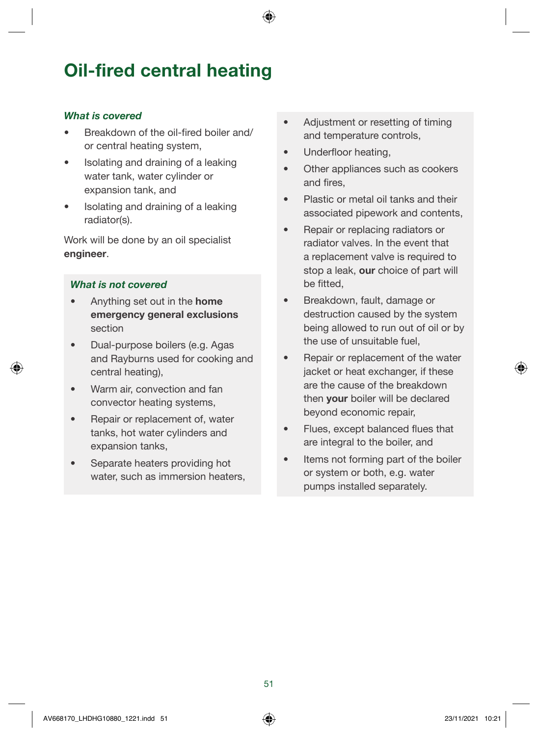### Oil-fired central heating

#### What is covered

- Breakdown of the oil-fired boiler and/ or central heating system,
- Isolating and draining of a leaking water tank, water cylinder or expansion tank, and
- Isolating and draining of a leaking radiator(s).

Work will be done by an oil specialist engineer.

- Anything set out in the **home** emergency general exclusions section
- Dual-purpose boilers (e.g. Agas and Rayburns used for cooking and central heating),
- Warm air, convection and fan convector heating systems,
- Repair or replacement of, water tanks, hot water cylinders and expansion tanks,
- Separate heaters providing hot water, such as immersion heaters,
- Adjustment or resetting of timing and temperature controls,
- Underfloor heating,
- Other appliances such as cookers and fires,
- Plastic or metal oil tanks and their associated pipework and contents,
- Repair or replacing radiators or radiator valves. In the event that a replacement valve is required to stop a leak, our choice of part will be fitted,
- Breakdown, fault, damage or destruction caused by the system being allowed to run out of oil or by the use of unsuitable fuel,
- Repair or replacement of the water jacket or heat exchanger, if these are the cause of the breakdown then **your** boiler will be declared beyond economic repair,
- Flues, except balanced flues that are integral to the boiler, and
- Items not forming part of the boiler or system or both, e.g. water pumps installed separately.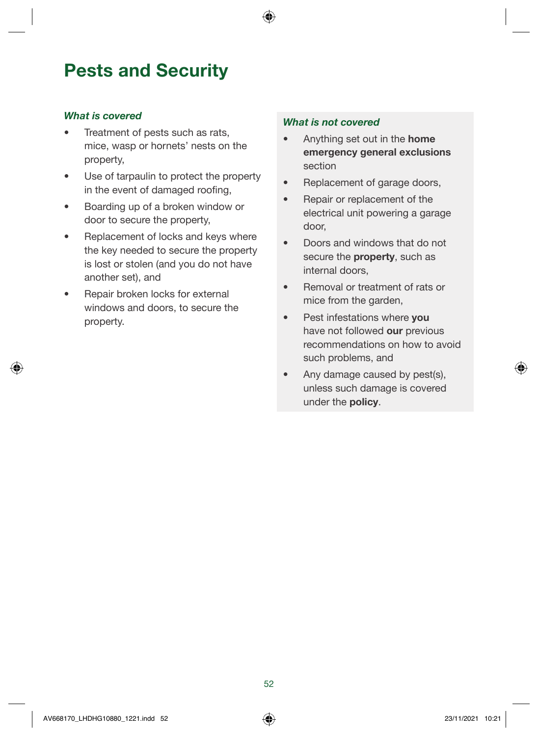### Pests and Security

#### What is covered

- Treatment of pests such as rats. mice, wasp or hornets' nests on the property,
- Use of tarpaulin to protect the property in the event of damaged roofing,
- Boarding up of a broken window or door to secure the property,
- Replacement of locks and keys where the key needed to secure the property is lost or stolen (and you do not have another set), and
- Repair broken locks for external windows and doors, to secure the property.

- Anything set out in the **home** emergency general exclusions section
- Replacement of garage doors,
- Repair or replacement of the electrical unit powering a garage door,
- Doors and windows that do not secure the **property**, such as internal doors,
- Removal or treatment of rats or mice from the garden,
- Pest infestations where you have not followed our previous recommendations on how to avoid such problems, and
- Any damage caused by pest(s), unless such damage is covered under the policy.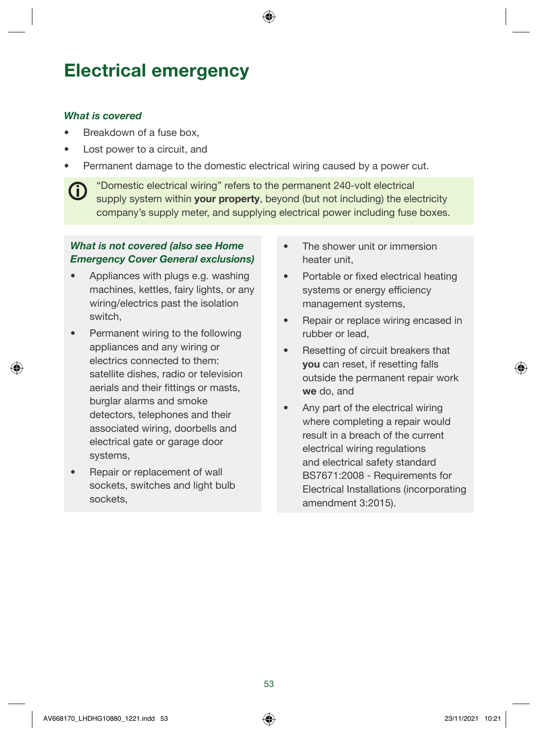### Electrical emergency

#### What is covered

G

- Breakdown of a fuse box,
- Lost power to a circuit, and
- Permanent damage to the domestic electrical wiring caused by a power cut.

"Domestic electrical wiring" refers to the permanent 240-volt electrical supply system within **your property**, beyond (but not including) the electricity company's supply meter, and supplying electrical power including fuse boxes.

#### What is not covered (also see Home Emergency Cover General exclusions)

- Appliances with plugs e.g. washing machines, kettles, fairy lights, or any wiring/electrics past the isolation switch,
- Permanent wiring to the following appliances and any wiring or electrics connected to them: satellite dishes, radio or television aerials and their fittings or masts, burglar alarms and smoke detectors, telephones and their associated wiring, doorbells and electrical gate or garage door systems,
- Repair or replacement of wall sockets, switches and light bulb sockets,
- The shower unit or immersion heater unit,
- Portable or fixed electrical heating systems or energy efficiency management systems,
- Repair or replace wiring encased in rubber or lead,
- Resetting of circuit breakers that you can reset, if resetting falls outside the permanent repair work we do, and
- Any part of the electrical wiring where completing a repair would result in a breach of the current electrical wiring regulations and electrical safety standard BS7671:2008 - Requirements for Electrical Installations (incorporating amendment 3:2015).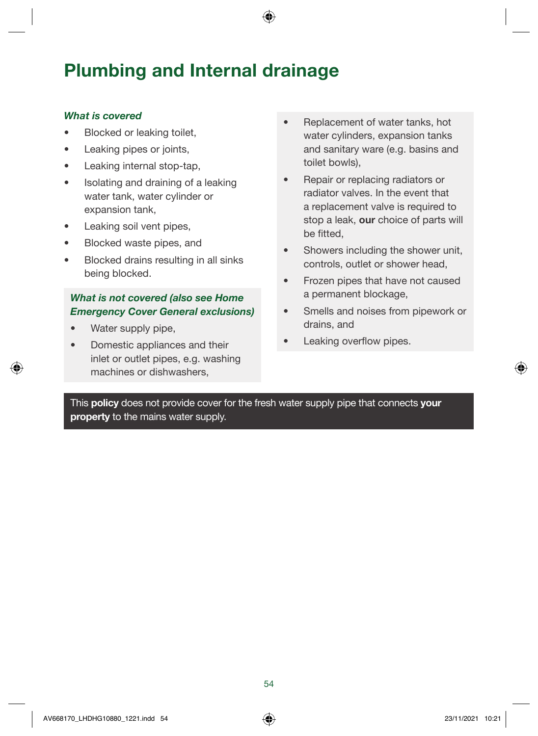### Plumbing and Internal drainage

#### What is covered

- Blocked or leaking toilet,
- Leaking pipes or joints,
- Leaking internal stop-tap,
- Isolating and draining of a leaking water tank, water cylinder or expansion tank,
- Leaking soil vent pipes.
- Blocked waste pipes, and
- Blocked drains resulting in all sinks being blocked.

#### What is not covered (also see Home Emergency Cover General exclusions)

- Water supply pipe,
- Domestic appliances and their inlet or outlet pipes, e.g. washing machines or dishwashers,
- Replacement of water tanks, hot water cylinders, expansion tanks and sanitary ware (e.g. basins and toilet bowls),
- Repair or replacing radiators or radiator valves. In the event that a replacement valve is required to stop a leak, our choice of parts will be fitted,
- Showers including the shower unit, controls, outlet or shower head,
- Frozen pipes that have not caused a permanent blockage,
- Smells and noises from pipework or drains, and
- Leaking overflow pipes.

This policy does not provide cover for the fresh water supply pipe that connects your property to the mains water supply.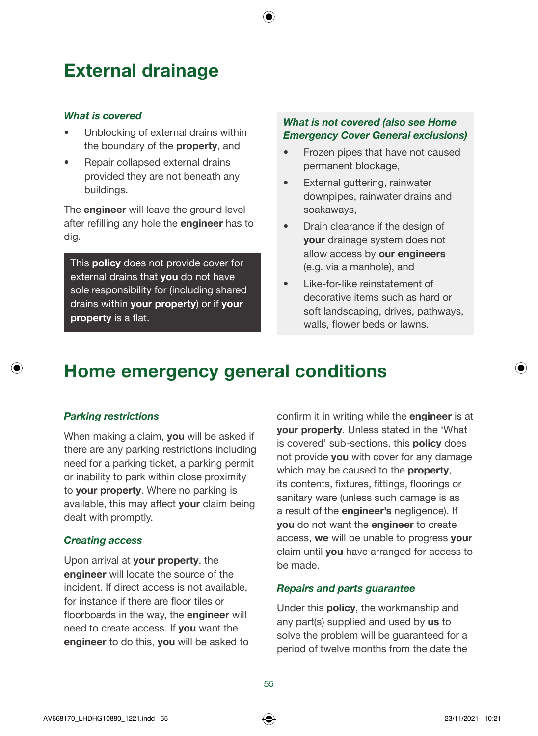### External drainage

#### What is covered

- Unblocking of external drains within the boundary of the **property**, and
- Repair collapsed external drains provided they are not beneath any buildings.

The **engineer** will leave the ground level after refilling any hole the engineer has to dig.

This **policy** does not provide cover for external drains that you do not have sole responsibility for (including shared drains within your property) or if your property is a flat.

#### What is not covered (also see Home Emergency Cover General exclusions)

- Frozen pipes that have not caused permanent blockage,
- External guttering, rainwater downpipes, rainwater drains and soakaways,
- Drain clearance if the design of your drainage system does not allow access by our engineers (e.g. via a manhole), and
- Like-for-like reinstatement of decorative items such as hard or soft landscaping, drives, pathways, walls, flower beds or lawns.

### Home emergency general conditions

#### Parking restrictions

When making a claim, **vou** will be asked if there are any parking restrictions including need for a parking ticket, a parking permit or inability to park within close proximity to your property. Where no parking is available, this may affect your claim being dealt with promptly.

#### Creating access

Upon arrival at your property, the engineer will locate the source of the incident. If direct access is not available, for instance if there are floor tiles or floorboards in the way, the **engineer** will need to create access. If you want the engineer to do this, you will be asked to confirm it in writing while the engineer is at your property. Unless stated in the 'What is covered' sub-sections, this **policy** does not provide you with cover for any damage which may be caused to the **property**, its contents, fixtures, fittings, floorings or sanitary ware (unless such damage is as a result of the engineer's negligence). If you do not want the engineer to create access, we will be unable to progress your claim until you have arranged for access to be made.

#### Repairs and parts guarantee

Under this policy, the workmanship and any part(s) supplied and used by us to solve the problem will be guaranteed for a period of twelve months from the date the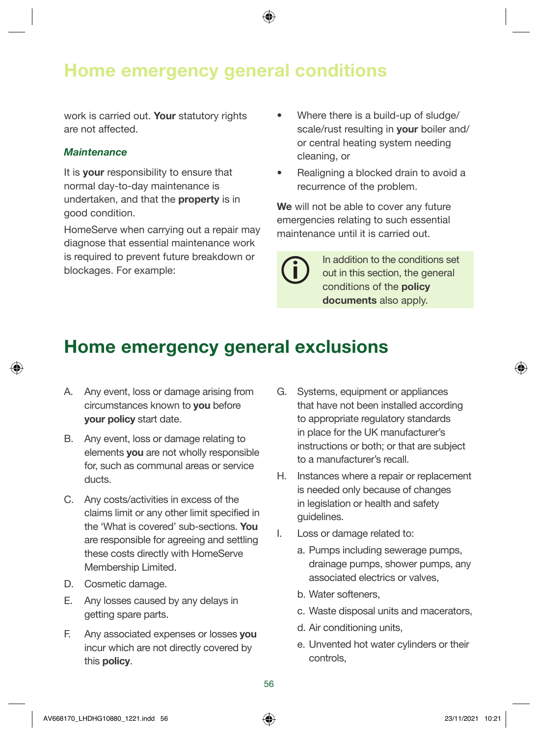### Home emergency general conditions

work is carried out. Your statutory rights are not affected.

#### **Maintenance**

It is **your** responsibility to ensure that normal day-to-day maintenance is undertaken, and that the property is in good condition.

HomeServe when carrying out a repair may diagnose that essential maintenance work is required to prevent future breakdown or blockages. For example:

- Where there is a build-up of sludge/ scale/rust resulting in **your** boiler and/ or central heating system needing cleaning, or
- Realigning a blocked drain to avoid a recurrence of the problem.

We will not be able to cover any future emergencies relating to such essential maintenance until it is carried out.

> In addition to the conditions set out in this section, the general conditions of the policy documents also apply.

### Home emergency general exclusions

- A. Any event, loss or damage arising from circumstances known to you before your policy start date.
- B. Any event, loss or damage relating to elements you are not wholly responsible for, such as communal areas or service ducts.
- C. Any costs/activities in excess of the claims limit or any other limit specified in the 'What is covered' sub-sections. You are responsible for agreeing and settling these costs directly with HomeServe Membership Limited.
- D. Cosmetic damage.
- E. Any losses caused by any delays in getting spare parts.
- F. Any associated expenses or losses you incur which are not directly covered by this policy.
- G. Systems, equipment or appliances that have not been installed according to appropriate regulatory standards in place for the UK manufacturer's instructions or both; or that are subject to a manufacturer's recall.
- H. Instances where a repair or replacement is needed only because of changes in legislation or health and safety guidelines.
- I. Loss or damage related to:
	- a. Pumps including sewerage pumps, drainage pumps, shower pumps, any associated electrics or valves,
	- b. Water softeners,
	- c. Waste disposal units and macerators,
	- d. Air conditioning units,
	- e. Unvented hot water cylinders or their controls,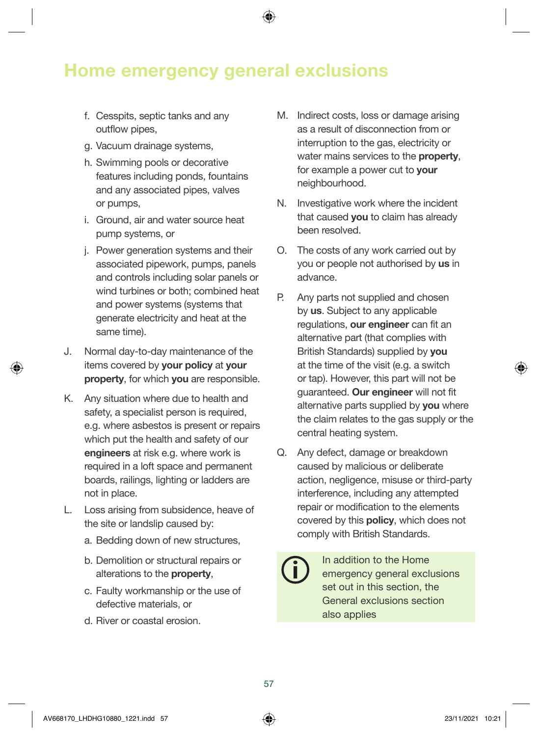### Home emergency general exclusions

- f. Cesspits, septic tanks and any outflow pipes,
- g. Vacuum drainage systems,
- h. Swimming pools or decorative features including ponds, fountains and any associated pipes, valves or pumps,
- i. Ground, air and water source heat pump systems, or
- j. Power generation systems and their associated pipework, pumps, panels and controls including solar panels or wind turbines or both; combined heat and power systems (systems that generate electricity and heat at the same time).
- J. Normal day-to-day maintenance of the items covered by your policy at your property, for which you are responsible.
- K. Any situation where due to health and safety, a specialist person is required, e.g. where asbestos is present or repairs which put the health and safety of our engineers at risk e.g. where work is required in a loft space and permanent boards, railings, lighting or ladders are not in place.
- L. Loss arising from subsidence, heave of the site or landslip caused by:
	- a. Bedding down of new structures,
	- b. Demolition or structural repairs or alterations to the property,
	- c. Faulty workmanship or the use of defective materials, or
	- d. River or coastal erosion.
- M. Indirect costs, loss or damage arising as a result of disconnection from or interruption to the gas, electricity or water mains services to the **property**. for example a power cut to **your** neighbourhood.
- N. Investigative work where the incident that caused **you** to claim has already been resolved.
- O. The costs of any work carried out by you or people not authorised by us in advance.
- P. Any parts not supplied and chosen by us. Subject to any applicable regulations, our engineer can fit an alternative part (that complies with British Standards) supplied by you at the time of the visit (e.g. a switch or tap). However, this part will not be guaranteed. Our engineer will not fit alternative parts supplied by **you** where the claim relates to the gas supply or the central heating system.
- Q. Any defect, damage or breakdown caused by malicious or deliberate action, negligence, misuse or third-party interference, including any attempted repair or modification to the elements covered by this policy, which does not comply with British Standards.
	- In addition to the Home emergency general exclusions set out in this section, the General exclusions section also applies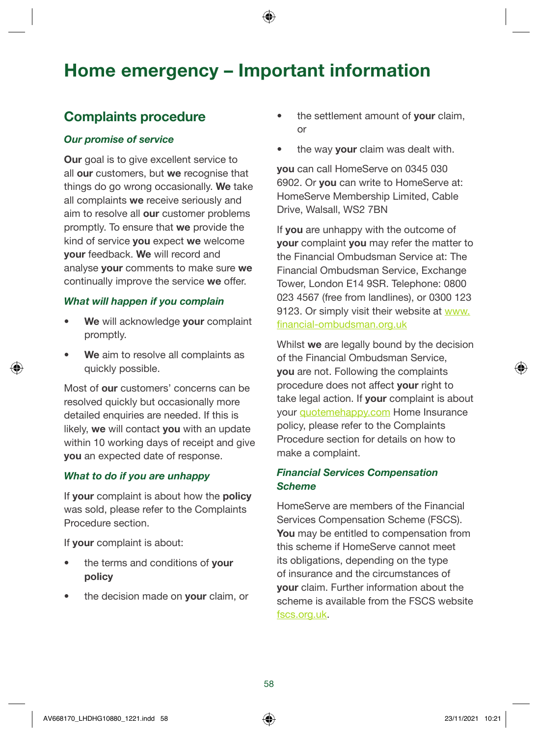### Home emergency – Important information

#### Complaints procedure

#### Our promise of service

**Our** goal is to give excellent service to all our customers, but we recognise that things do go wrong occasionally. We take all complaints we receive seriously and aim to resolve all our customer problems promptly. To ensure that we provide the kind of service you expect we welcome your feedback. We will record and analyse your comments to make sure we continually improve the service we offer.

#### What will happen if you complain

- We will acknowledge your complaint promptly.
- We aim to resolve all complaints as quickly possible.

Most of our customers' concerns can be resolved quickly but occasionally more detailed enquiries are needed. If this is likely, we will contact you with an update within 10 working days of receipt and give you an expected date of response.

#### What to do if you are unhappy

If your complaint is about how the policy was sold, please refer to the Complaints Procedure section.

If your complaint is about:

- the terms and conditions of your policy
- the decision made on your claim, or
- the settlement amount of **vour** claim. or
- the way **your** claim was dealt with.

you can call HomeServe on 0345 030 6902. Or **you** can write to HomeServe at: HomeServe Membership Limited, Cable Drive, Walsall, WS2 7BN

If you are unhappy with the outcome of your complaint you may refer the matter to the Financial Ombudsman Service at: The Financial Ombudsman Service, Exchange Tower, London E14 9SR. Telephone: 0800 023 4567 (free from landlines), or 0300 123 9123. Or simply visit their website at [www.](http://www.financial-ombudsman.org.uk) [financial-ombudsman.org.uk](http://www.financial-ombudsman.org.uk)

Whilst we are legally bound by the decision of the Financial Ombudsman Service, you are not. Following the complaints procedure does not affect **vour** right to take legal action. If your complaint is about your [quotemehappy.com](https://www.quotemehappy.com) Home Insurance policy, please refer to the Complaints Procedure section for details on how to make a complaint.

#### Financial Services Compensation **Scheme**

HomeServe are members of the Financial Services Compensation Scheme (FSCS). You may be entitled to compensation from this scheme if HomeServe cannot meet its obligations, depending on the type of insurance and the circumstances of your claim. Further information about the scheme is available from the FSCS website [fscs.org.uk](http://fscs.org.uk).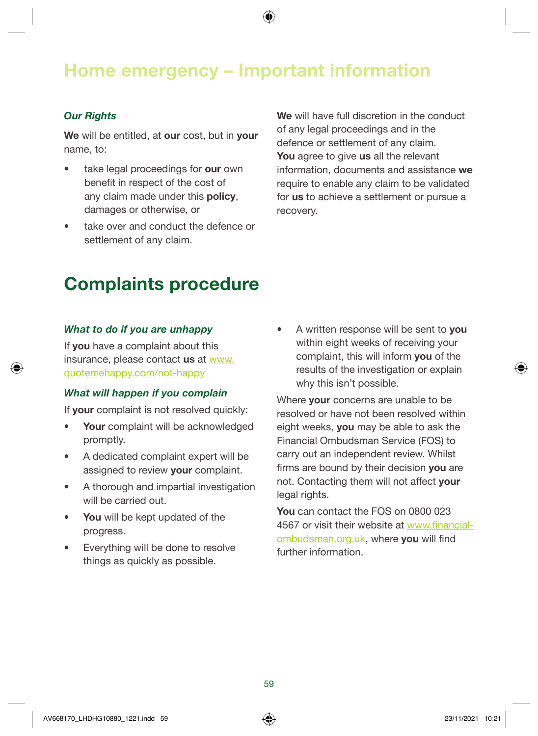### Home emergency – Important information

#### **Our Rights**

We will be entitled, at our cost, but in your name, to:

- take legal proceedings for our own benefit in respect of the cost of any claim made under this policy, damages or otherwise, or
- take over and conduct the defence or settlement of any claim.

We will have full discretion in the conduct of any legal proceedings and in the defence or settlement of any claim. You agree to give us all the relevant information, documents and assistance we require to enable any claim to be validated for us to achieve a settlement or pursue a recovery.

### Complaints procedure

#### What to do if you are unhappy

If you have a complaint about this insurance, please contact us at [www.](http://www.quotemehappy.com/not-happy) [quotemehappy.com/not-happy](http://www.quotemehappy.com/not-happy)

#### What will happen if you complain

If your complaint is not resolved quickly:

- Your complaint will be acknowledged promptly.
- A dedicated complaint expert will be assigned to review your complaint.
- A thorough and impartial investigation will be carried out.
- You will be kept updated of the progress.
- Everything will be done to resolve things as quickly as possible.

• A written response will be sent to you within eight weeks of receiving your complaint, this will inform you of the results of the investigation or explain why this isn't possible.

Where **your** concerns are unable to be resolved or have not been resolved within eight weeks, you may be able to ask the Financial Ombudsman Service (FOS) to carry out an independent review. Whilst firms are bound by their decision you are not. Contacting them will not affect your legal rights.

You can contact the FOS on 0800 023 4567 or visit their website at [www.financial](http://www.financial-ombudsman.org.uk)[ombudsman.org.uk](http://www.financial-ombudsman.org.uk), where you will find further information.